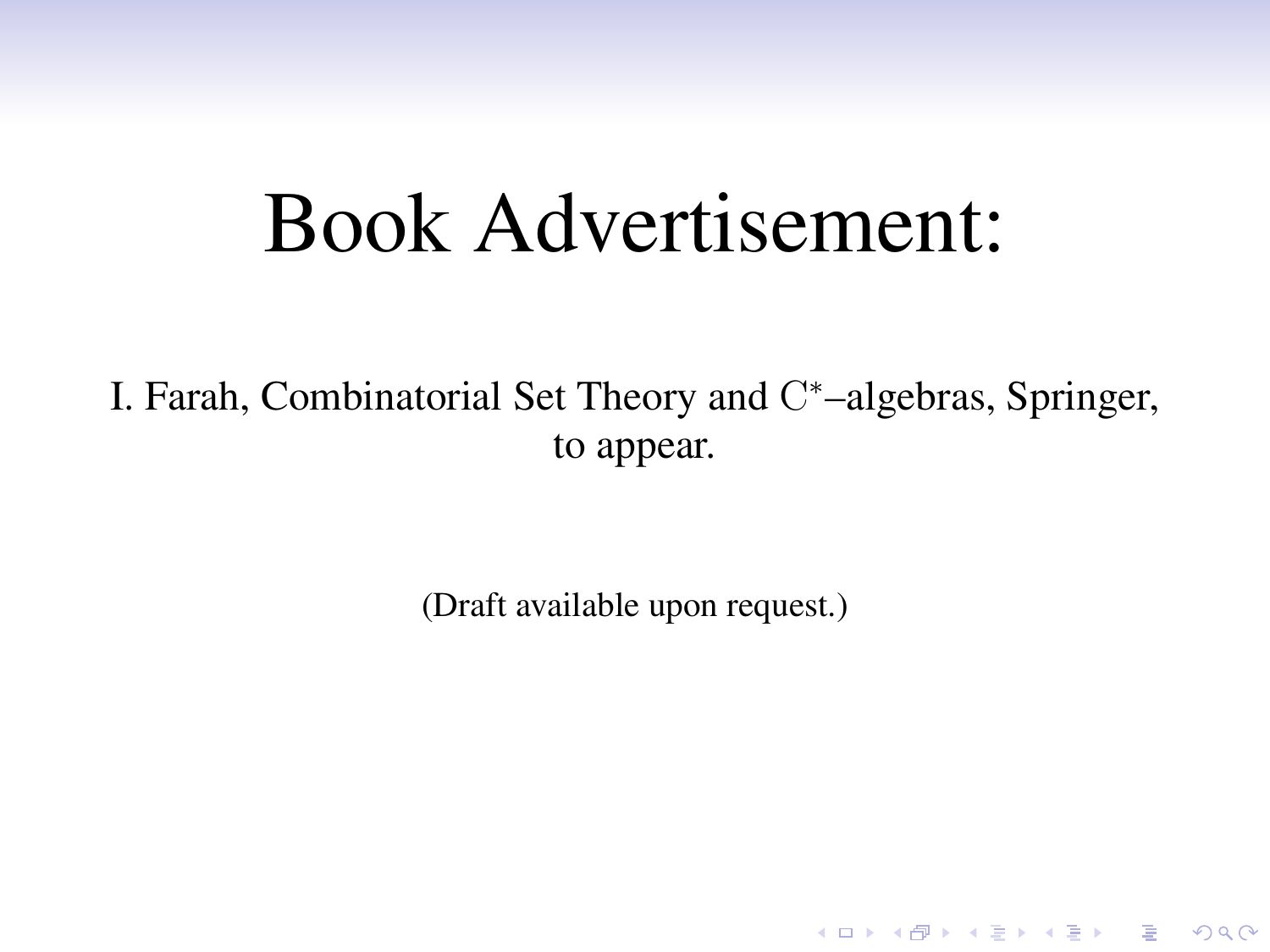# Book Advertisement:

I. Farah, Combinatorial Set Theory and C\*-algebras, Springer, to appear.

(Draft available upon request.)

K ロ ▶ K @ ▶ K 할 > K 할 > 1 할 > 1 이익어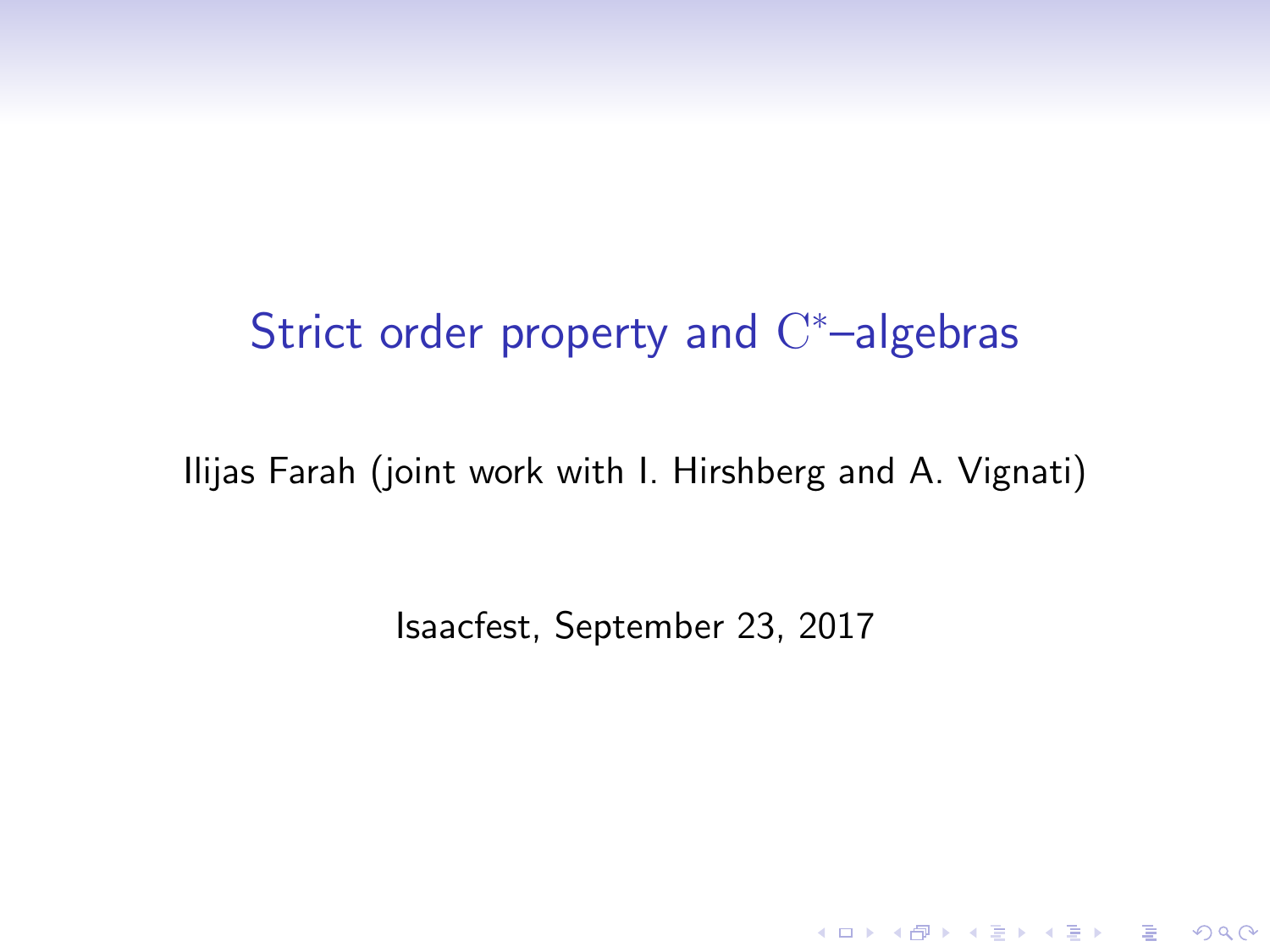# Strict order property and  $C^*$ -algebras

Ilijas Farah (joint work with I. Hirshberg and A. Vignati)

Isaacfest, September 23, 2017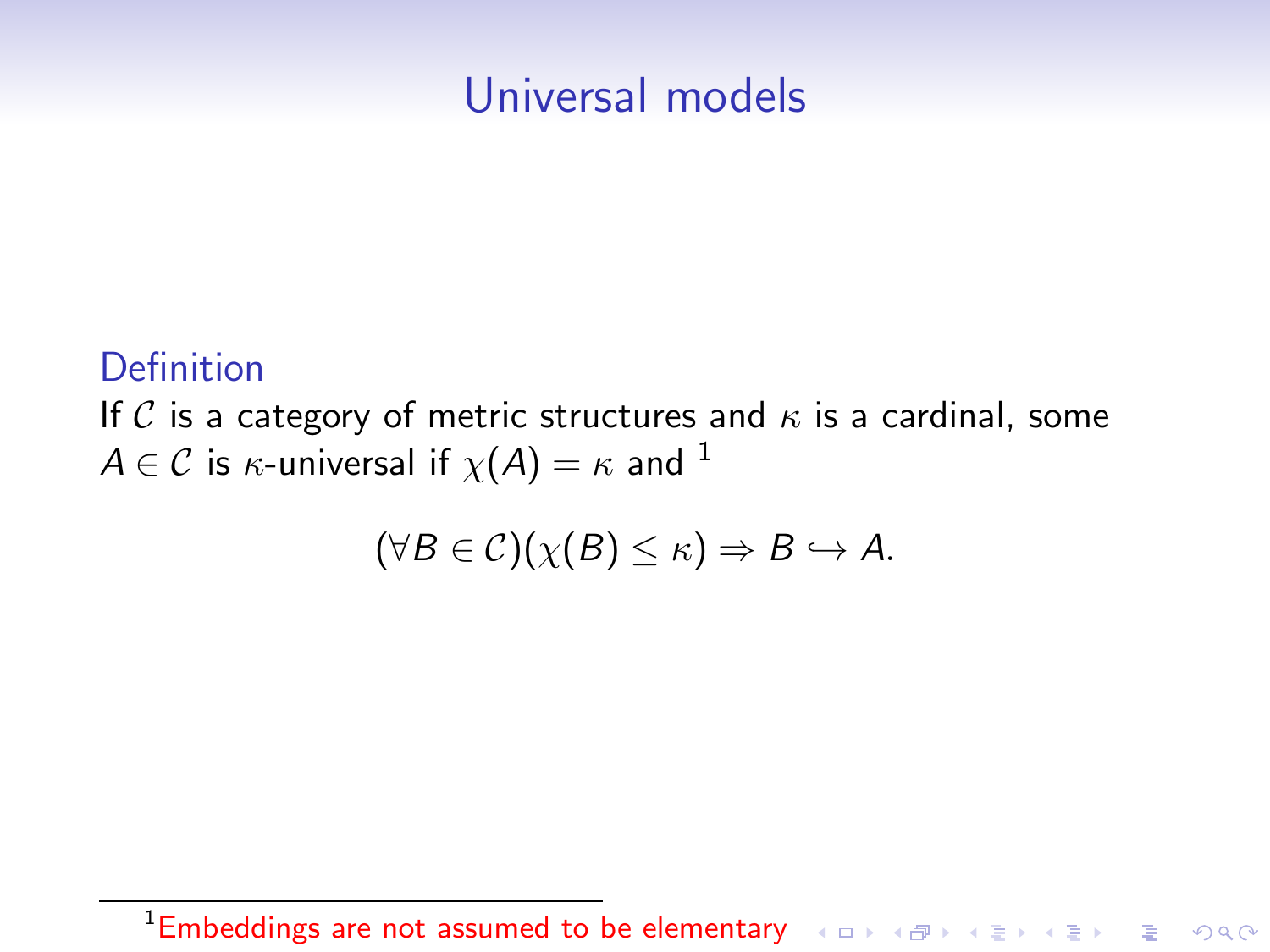# Universal models

#### Definition

If C is a category of metric structures and  $\kappa$  is a cardinal, some  $A \in \mathcal{C}$  is  $\kappa$ -universal if  $\chi(A) = \kappa$  and <sup>1</sup>

$$
(\forall B \in \mathcal{C})(\chi(B) \leq \kappa) \Rightarrow B \hookrightarrow A.
$$

<sup>1</sup>Embeddings are not assumed to be elementary or a series of the series of the series of the series of the series of the series of the series of the series of the series of the series of the series of the series of the seri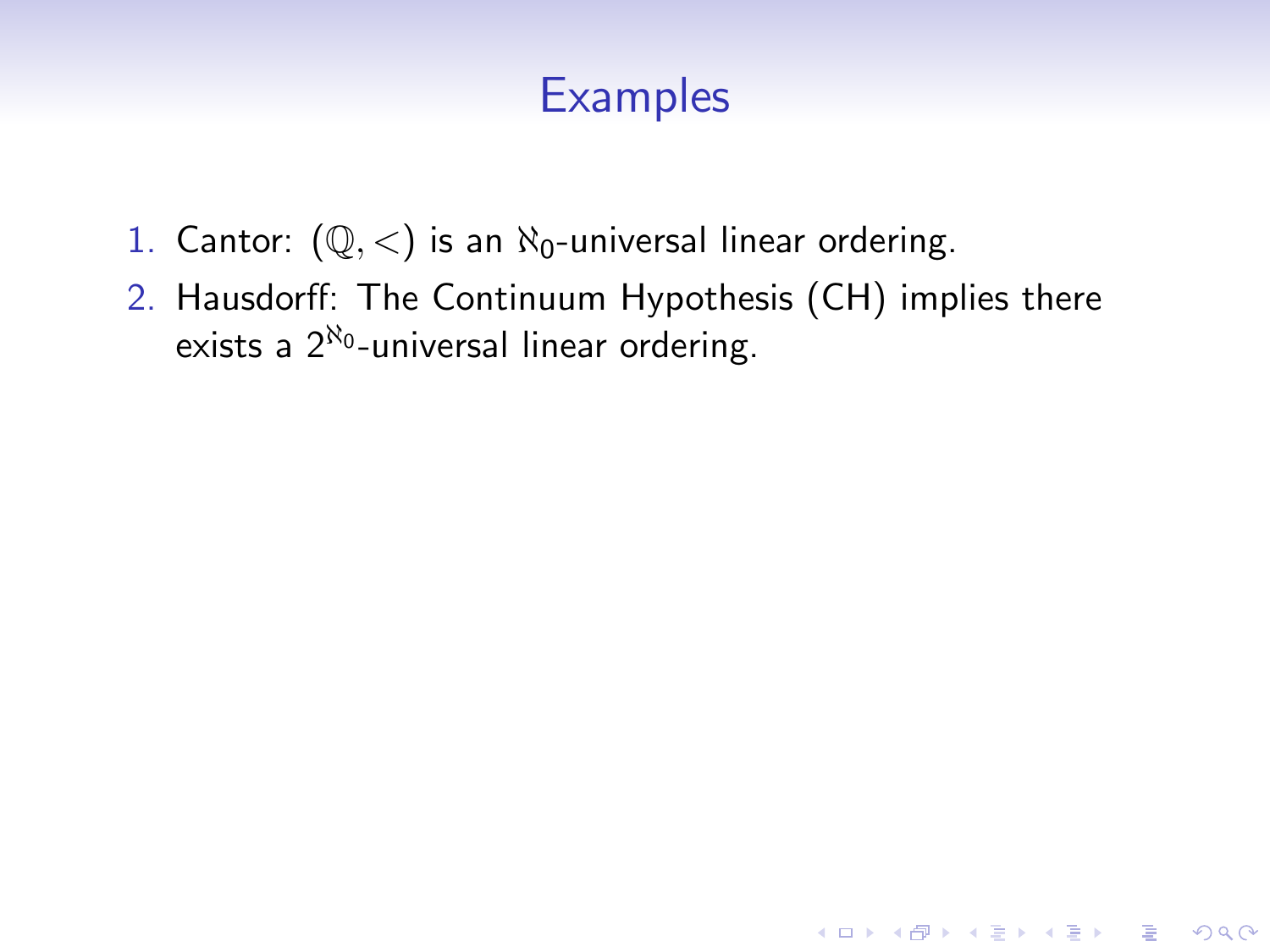- 1. Cantor:  $(\mathbb{Q}, \langle)$  is an  $\aleph_0$ -universal linear ordering.
- 2. Hausdorff: The Continuum Hypothesis (CH) implies there exists a  $2^{\aleph_0}$ -universal linear ordering.

K ロ ▶ K @ ▶ K 할 > K 할 > 1 할 > 1 이익어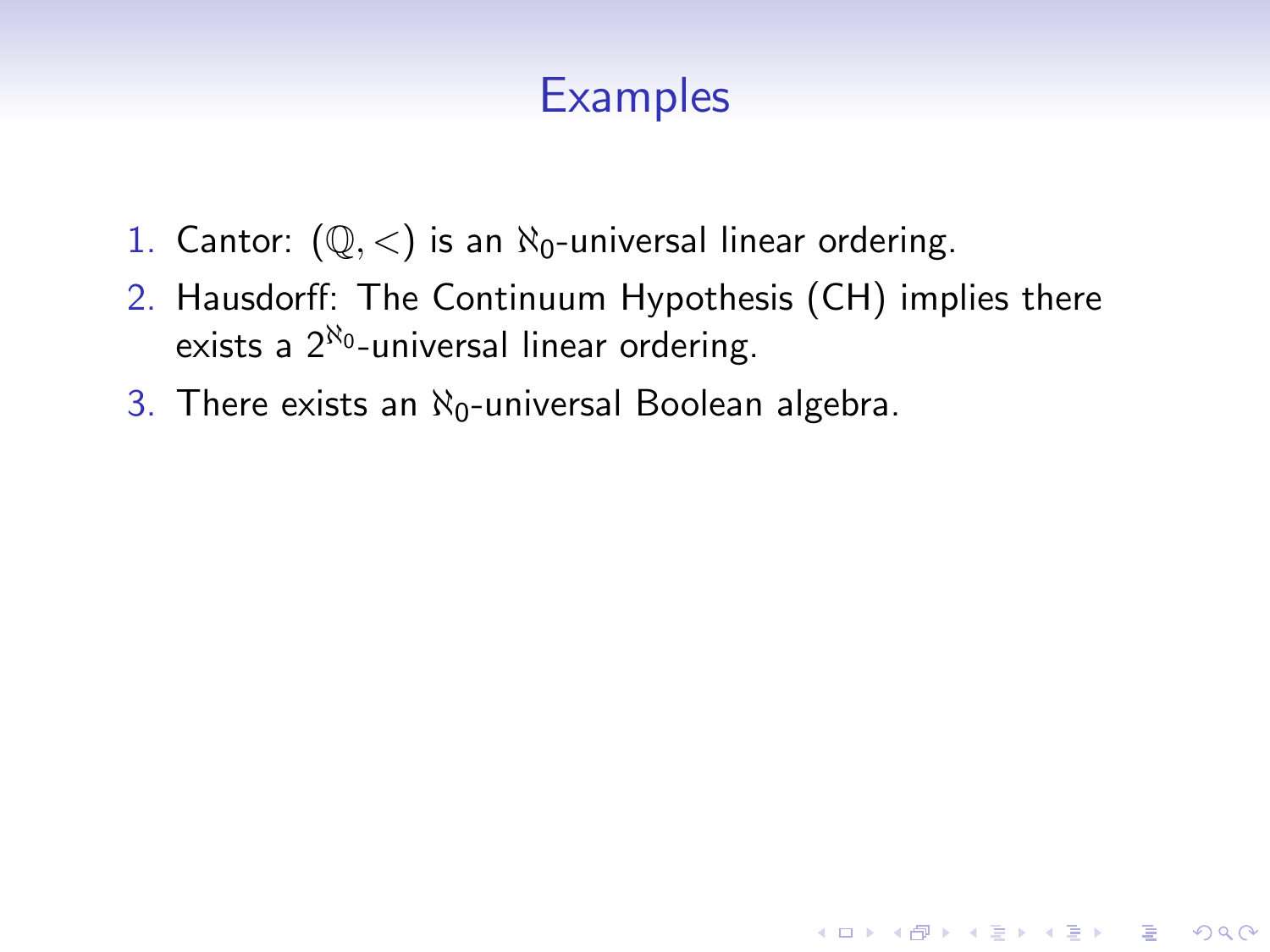- 1. Cantor:  $(\mathbb{Q}, \langle)$  is an  $\aleph_0$ -universal linear ordering.
- 2. Hausdorff: The Continuum Hypothesis (CH) implies there exists a  $2^{\aleph_0}$ -universal linear ordering.

K ロ ▶ K @ ▶ K 할 > K 할 > 1 할 > 1 이익어

3. There exists an  $\aleph_0$ -universal Boolean algebra.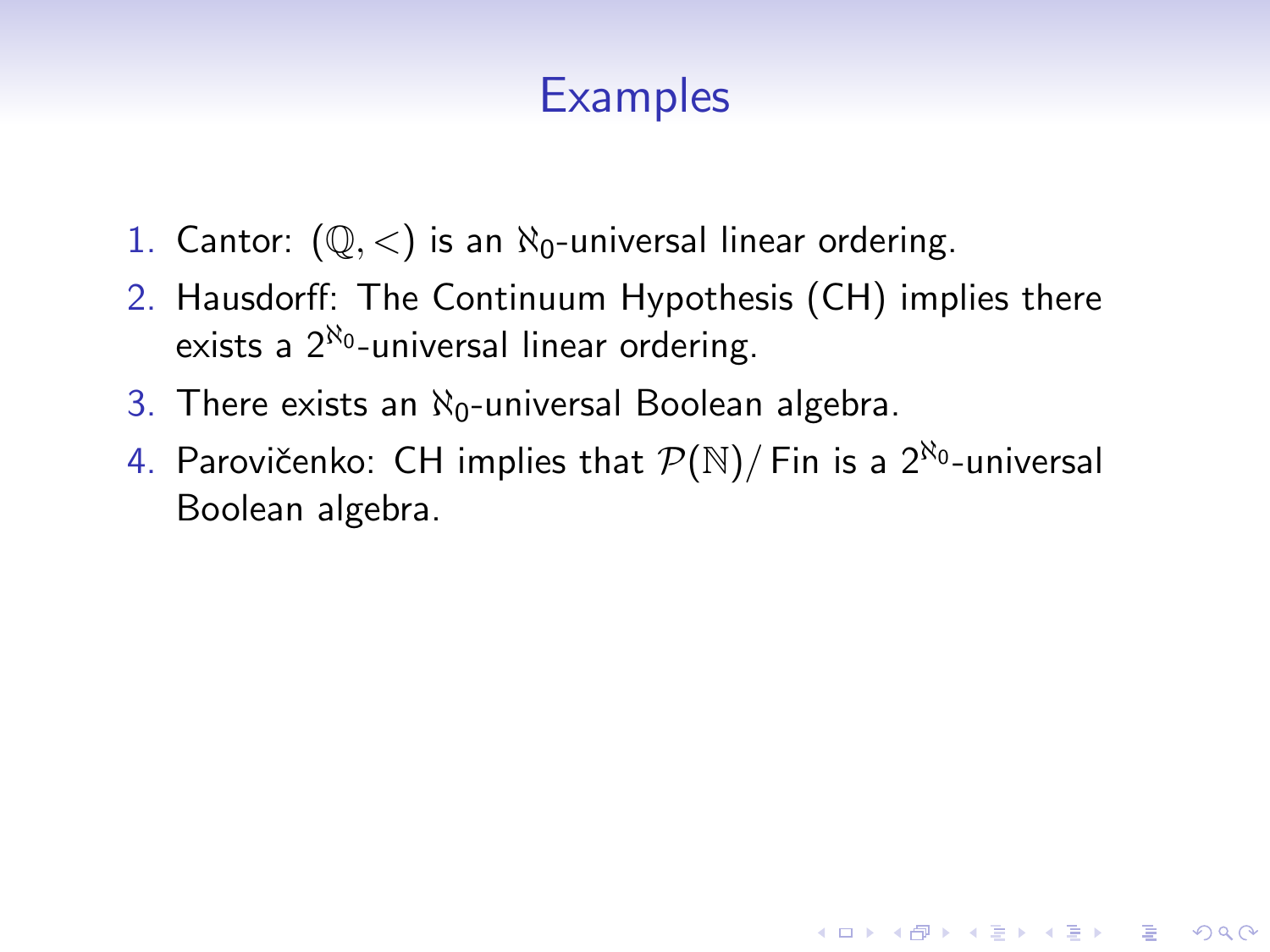- 1. Cantor:  $(\mathbb{Q}, \langle)$  is an  $\aleph_0$ -universal linear ordering.
- 2. Hausdorff: The Continuum Hypothesis (CH) implies there exists a  $2^{\aleph_0}$ -universal linear ordering.
- 3. There exists an  $\aleph_0$ -universal Boolean algebra.
- 4. Parovičenko: CH implies that  $\mathcal{P}(\mathbb{N})/$  Fin is a  $2^{\aleph_0}$ -universal Boolean algebra.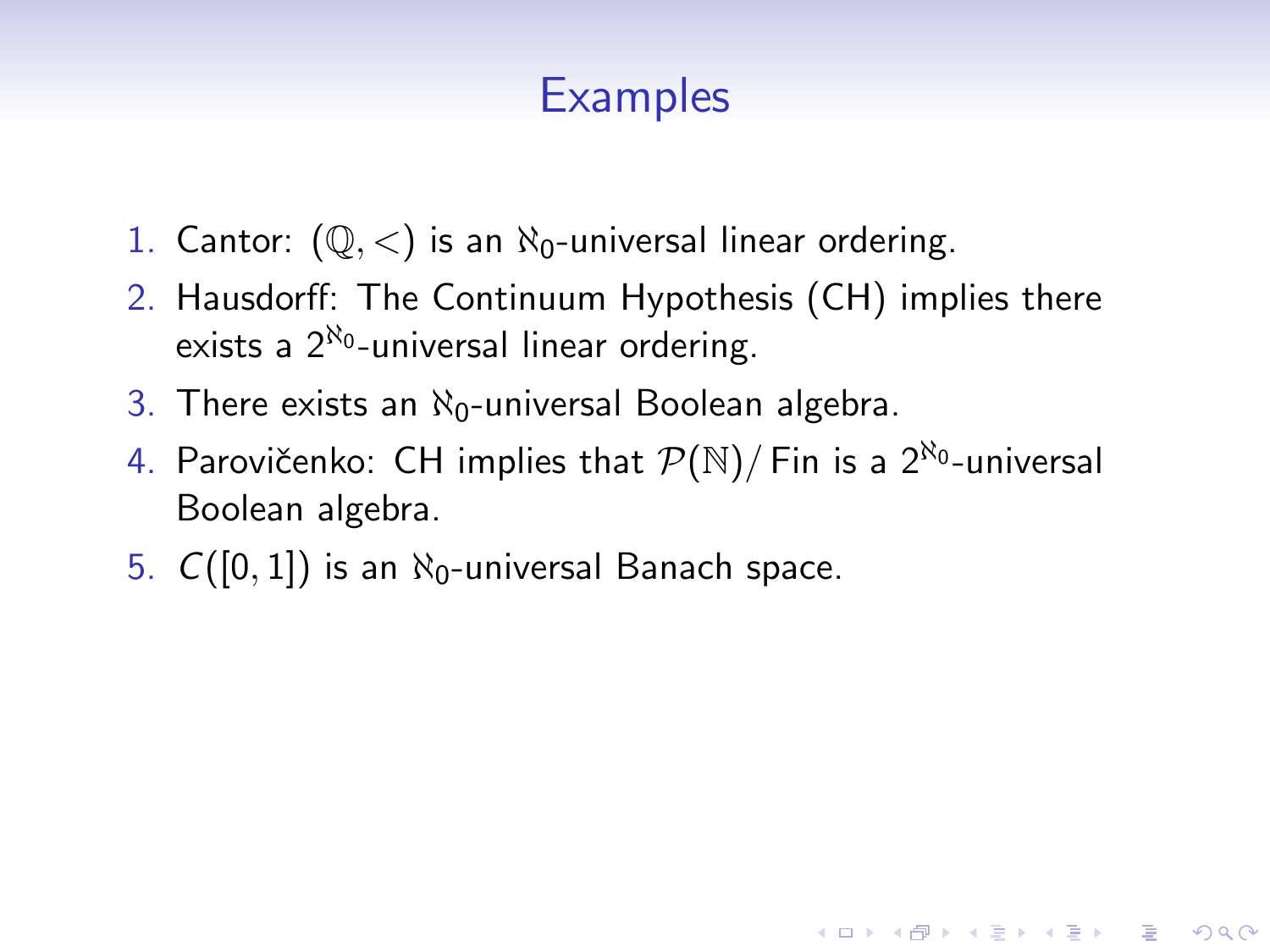- 1. Cantor:  $(\mathbb{Q}, \langle)$  is an  $\aleph_0$ -universal linear ordering.
- 2. Hausdorff: The Continuum Hypothesis (CH) implies there exists a  $2^{\aleph_0}$ -universal linear ordering.
- 3. There exists an  $\aleph_0$ -universal Boolean algebra.
- 4. Parovičenko: CH implies that  $\mathcal{P}(\mathbb{N})/$  Fin is a  $2^{\aleph_0}$ -universal Boolean algebra.

**KORK ERKER ADE YOUR** 

5.  $C([0, 1])$  is an  $\aleph_0$ -universal Banach space.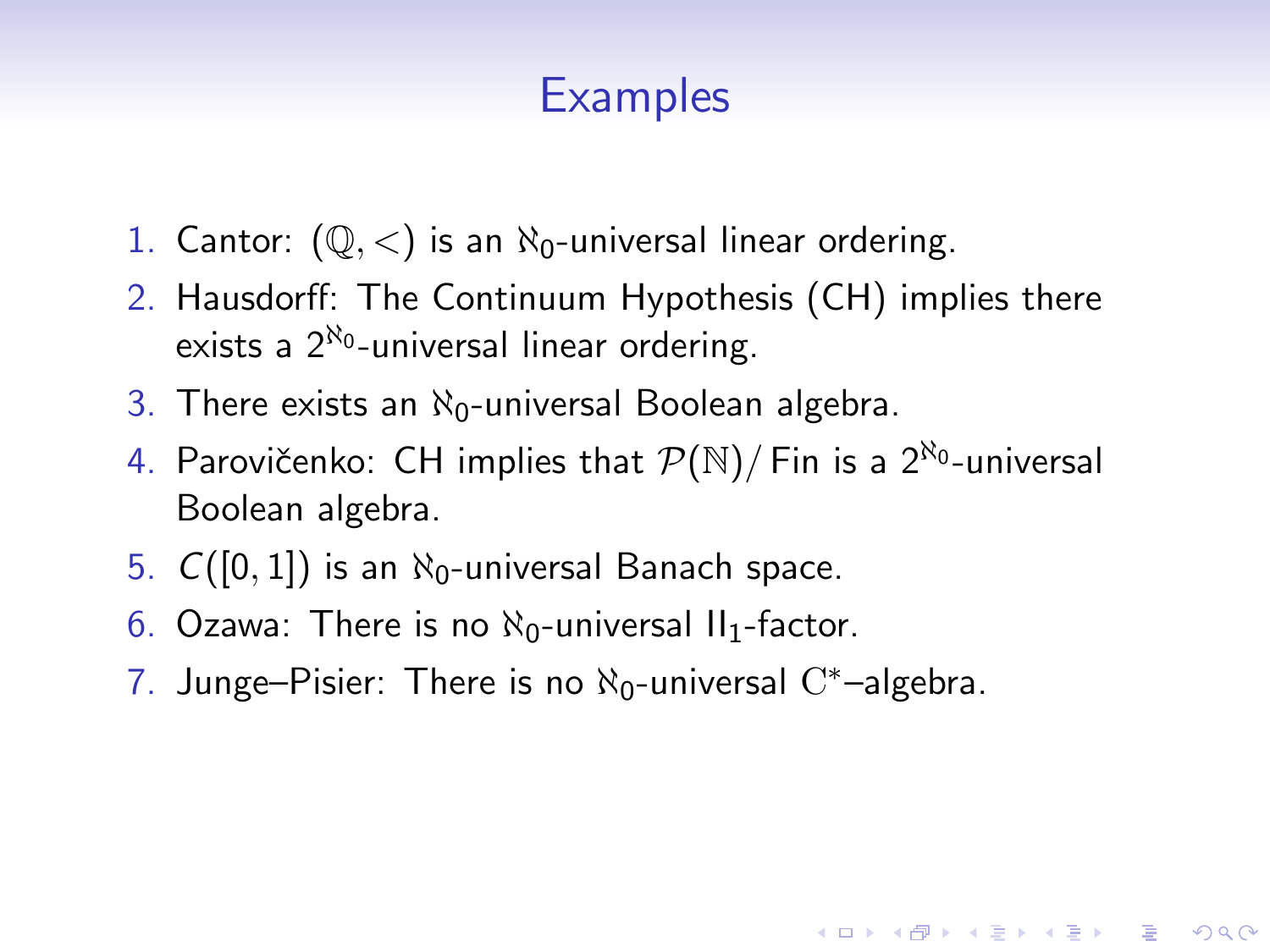- 1. Cantor:  $(\mathbb{Q}, \langle)$  is an  $\aleph_0$ -universal linear ordering.
- 2. Hausdorff: The Continuum Hypothesis (CH) implies there exists a  $2^{\aleph_0}$ -universal linear ordering.
- 3. There exists an  $\aleph_0$ -universal Boolean algebra.
- 4. Parovičenko: CH implies that  $\mathcal{P}(\mathbb{N})/$  Fin is a  $2^{\aleph_0}$ -universal Boolean algebra.

- 5.  $C([0,1])$  is an  $\aleph_0$ -universal Banach space.
- 6. Ozawa: There is no  $\aleph_0$ -universal II<sub>1</sub>-factor.
- 7. Junge–Pisier: There is no  $\aleph_0$ -universal  $\mathrm{C}^*$ –algebra.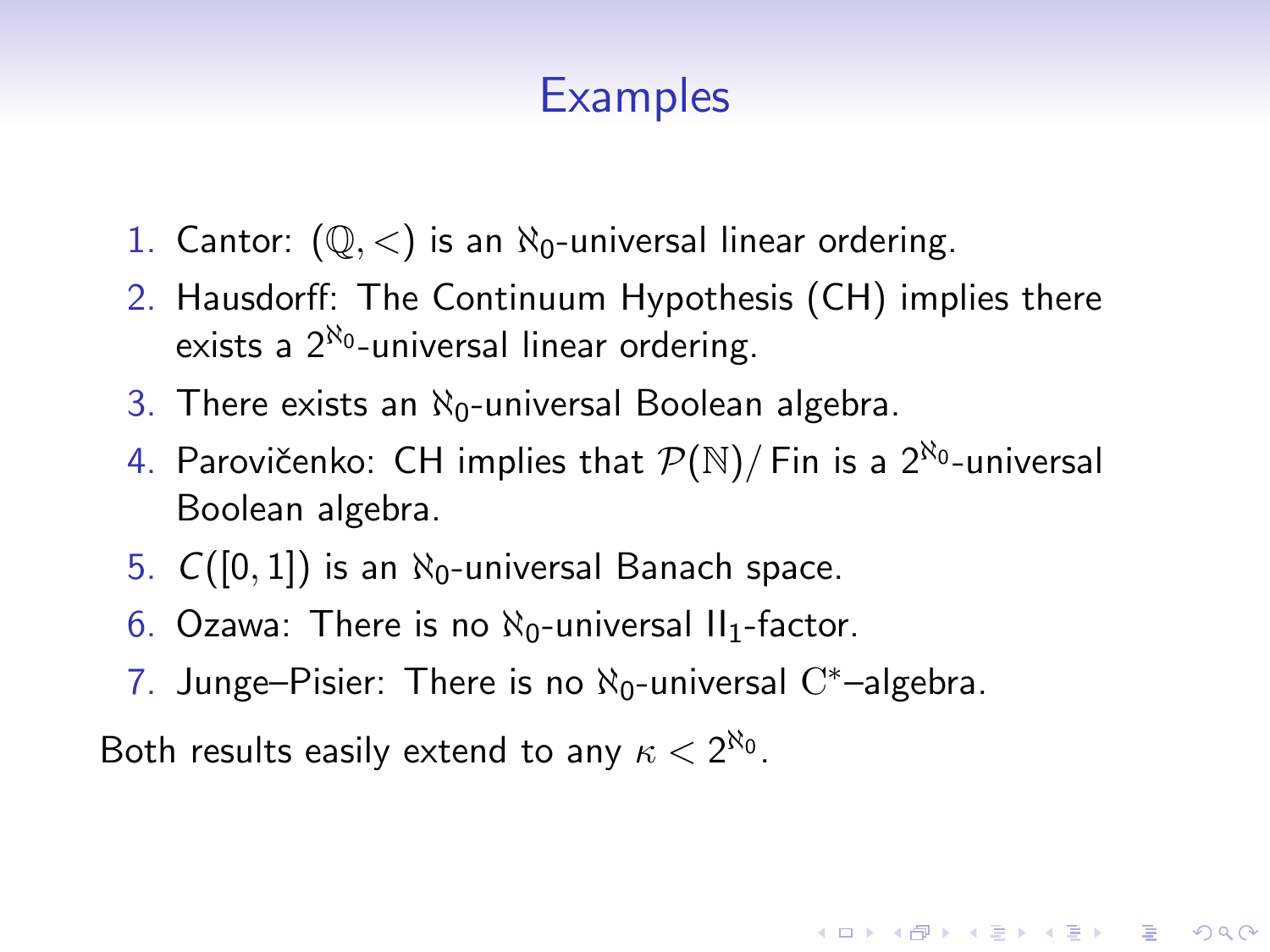- 1. Cantor:  $(\mathbb{Q}, \langle)$  is an  $\aleph_0$ -universal linear ordering.
- 2. Hausdorff: The Continuum Hypothesis (CH) implies there exists a  $2^{\aleph_0}$ -universal linear ordering.
- 3. There exists an  $\aleph_0$ -universal Boolean algebra.
- 4. Parovičenko: CH implies that  $\mathcal{P}(\mathbb{N})/$  Fin is a  $2^{\aleph_0}$ -universal Boolean algebra.

**KORKAR KERKER EL VOLO** 

- 5.  $C([0,1])$  is an  $\aleph_0$ -universal Banach space.
- 6. Ozawa: There is no  $\aleph_0$ -universal II<sub>1</sub>-factor.
- 7. Junge–Pisier: There is no  $\aleph_0$ -universal  $\mathrm{C}^*$ –algebra.

Both results easily extend to any  $\kappa < 2^{\aleph_0}$ .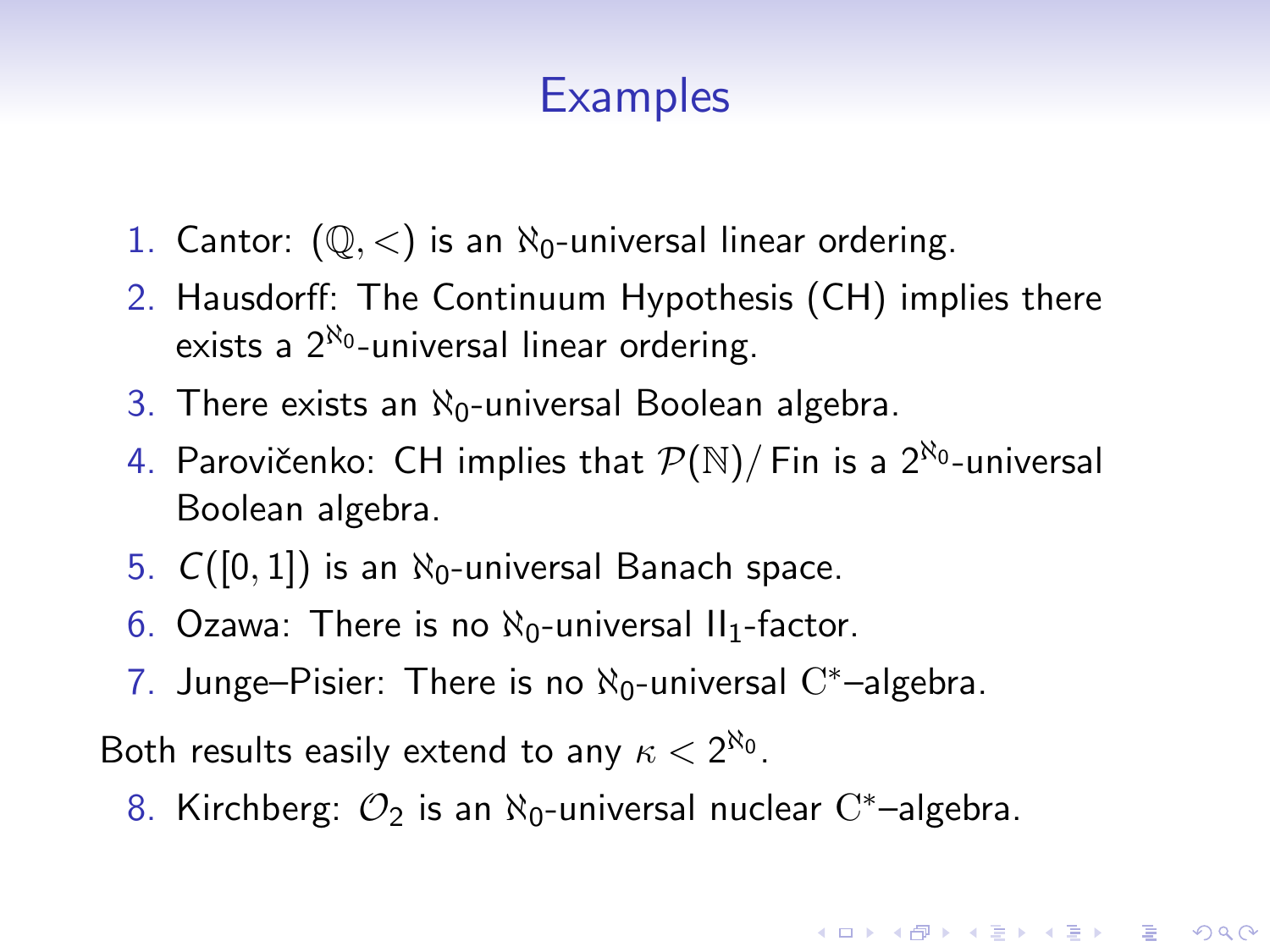- 1. Cantor:  $(\mathbb{Q}, \langle)$  is an  $\aleph_0$ -universal linear ordering.
- 2. Hausdorff: The Continuum Hypothesis (CH) implies there exists a  $2^{\aleph_0}$ -universal linear ordering.
- 3. There exists an  $\aleph_0$ -universal Boolean algebra.
- 4. Parovičenko: CH implies that  $\mathcal{P}(\mathbb{N})/$  Fin is a  $2^{\aleph_0}$ -universal Boolean algebra.
- 5.  $C([0, 1])$  is an  $\aleph_0$ -universal Banach space.
- 6. Ozawa: There is no  $\aleph_0$ -universal II<sub>1</sub>-factor.
- 7. Junge–Pisier: There is no  $\aleph_0$ -universal  $\mathrm{C}^*$ –algebra.

Both results easily extend to any  $\kappa < 2^{\aleph_0}$ .

8. Kirchberg:  $\mathcal{O}_2$  is an  $\aleph_0$ -universal nuclear  $\mathrm{C}^*$ -algebra.

**KORKAR KERKER EL VOLO**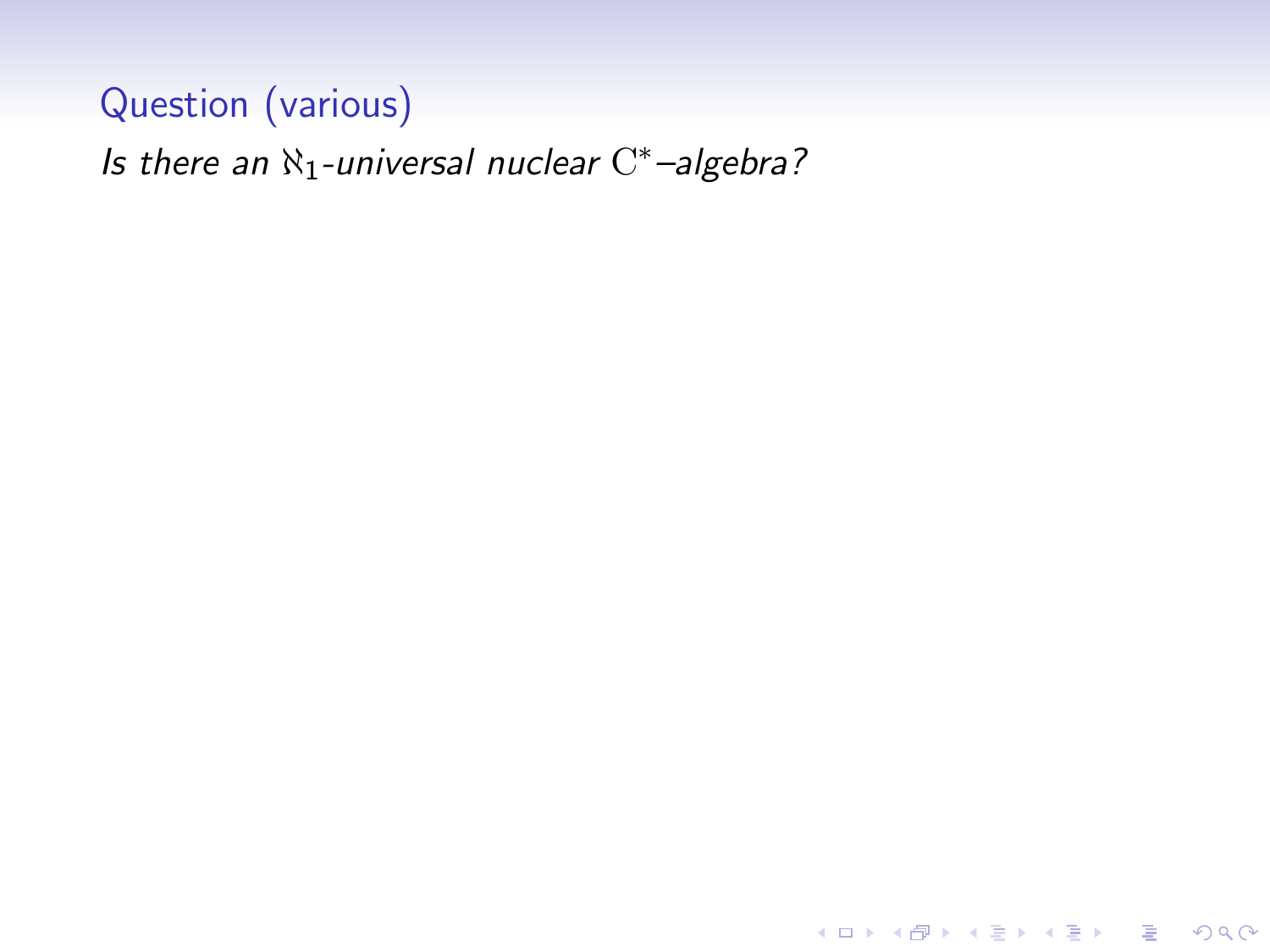Is there an  $\aleph_1$ -universal nuclear  $C^*$ -algebra?

K ロ ▶ K @ ▶ K 할 ▶ K 할 ▶ | 할 | © 9 Q @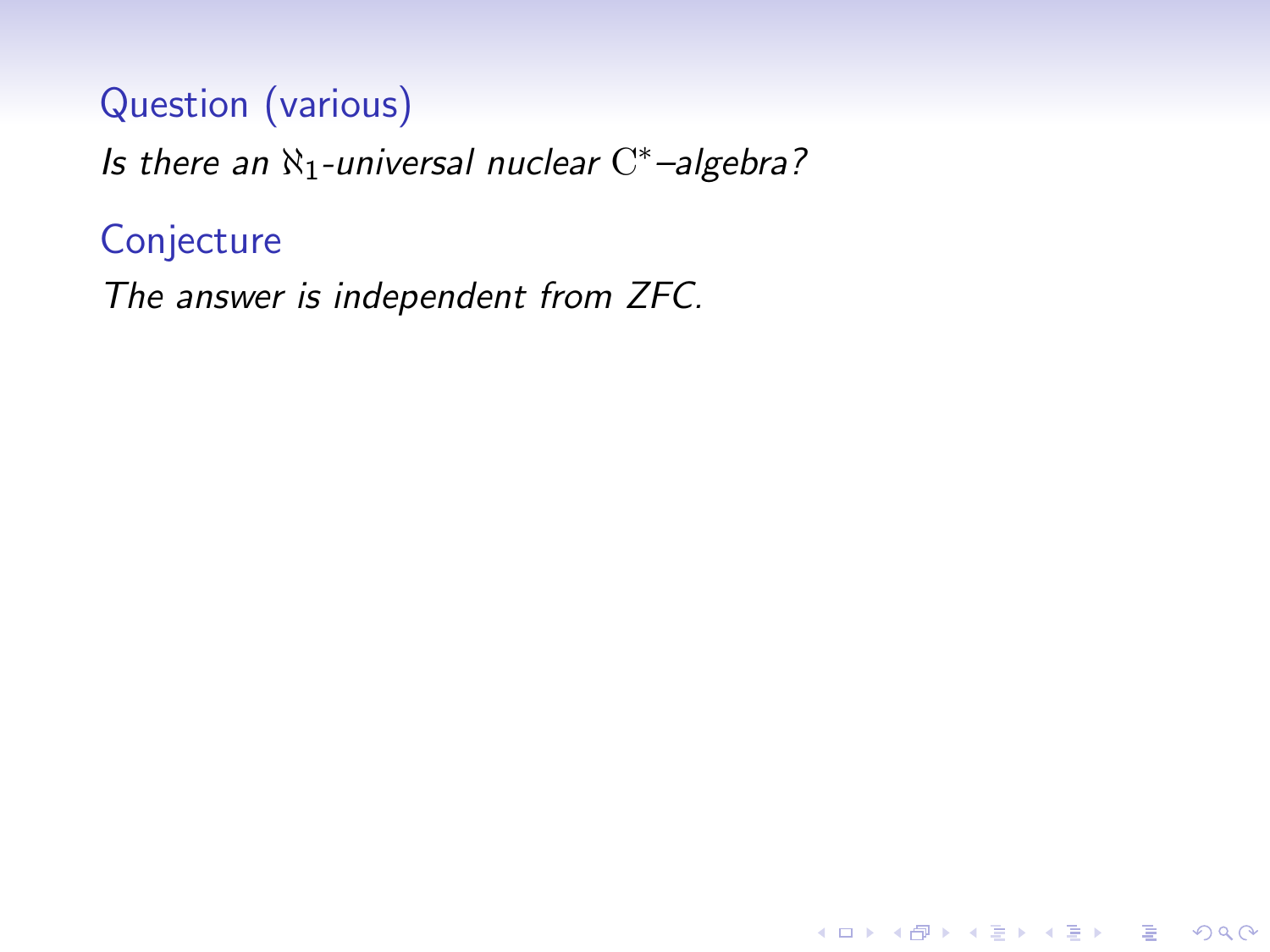Is there an  $\aleph_1$ -universal nuclear  $C^*$ -algebra?

K ロ ▶ K @ ▶ K 할 > K 할 > 1 할 > 1 이익어

# **Conjecture**

The answer is independent from ZFC.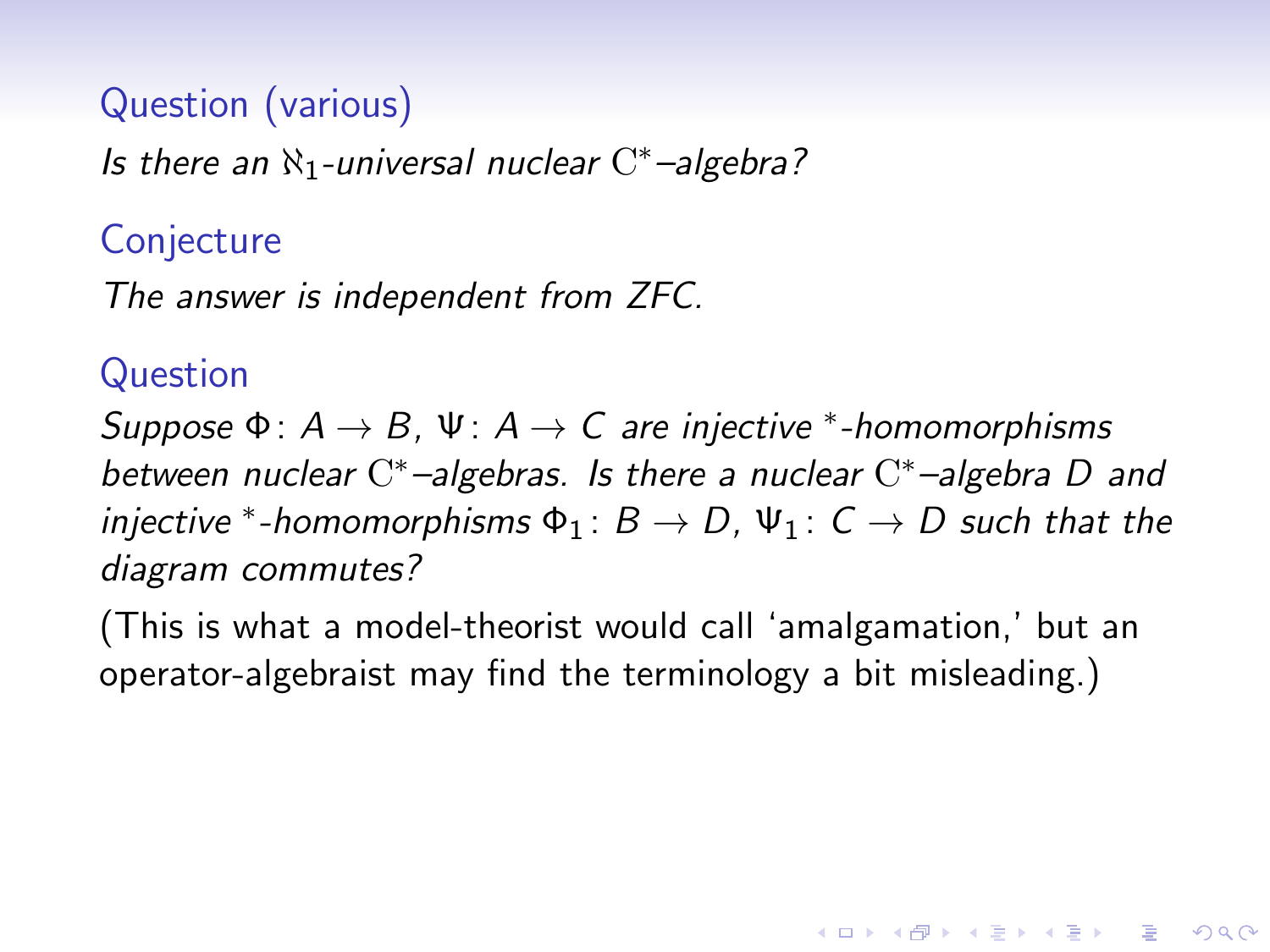Is there an  $\aleph_1$ -universal nuclear  $C^*$ -algebra?

### **Conjecture**

The answer is independent from ZFC.

#### Question

Suppose  $\Phi: A \to B$ ,  $\Psi: A \to C$  are injective \*-homomorphisms between nuclear  $C^*$ -algebras. Is there a nuclear  $C^*$ -algebra D and injective \*-homomorphisms  $\Phi_1: B \to D$ ,  $\Psi_1: C \to D$  such that the diagram commutes?

(This is what a model-theorist would call 'amalgamation,' but an operator-algebraist may find the terminology a bit misleading.)

**KORKAR KERKER EL VOLO**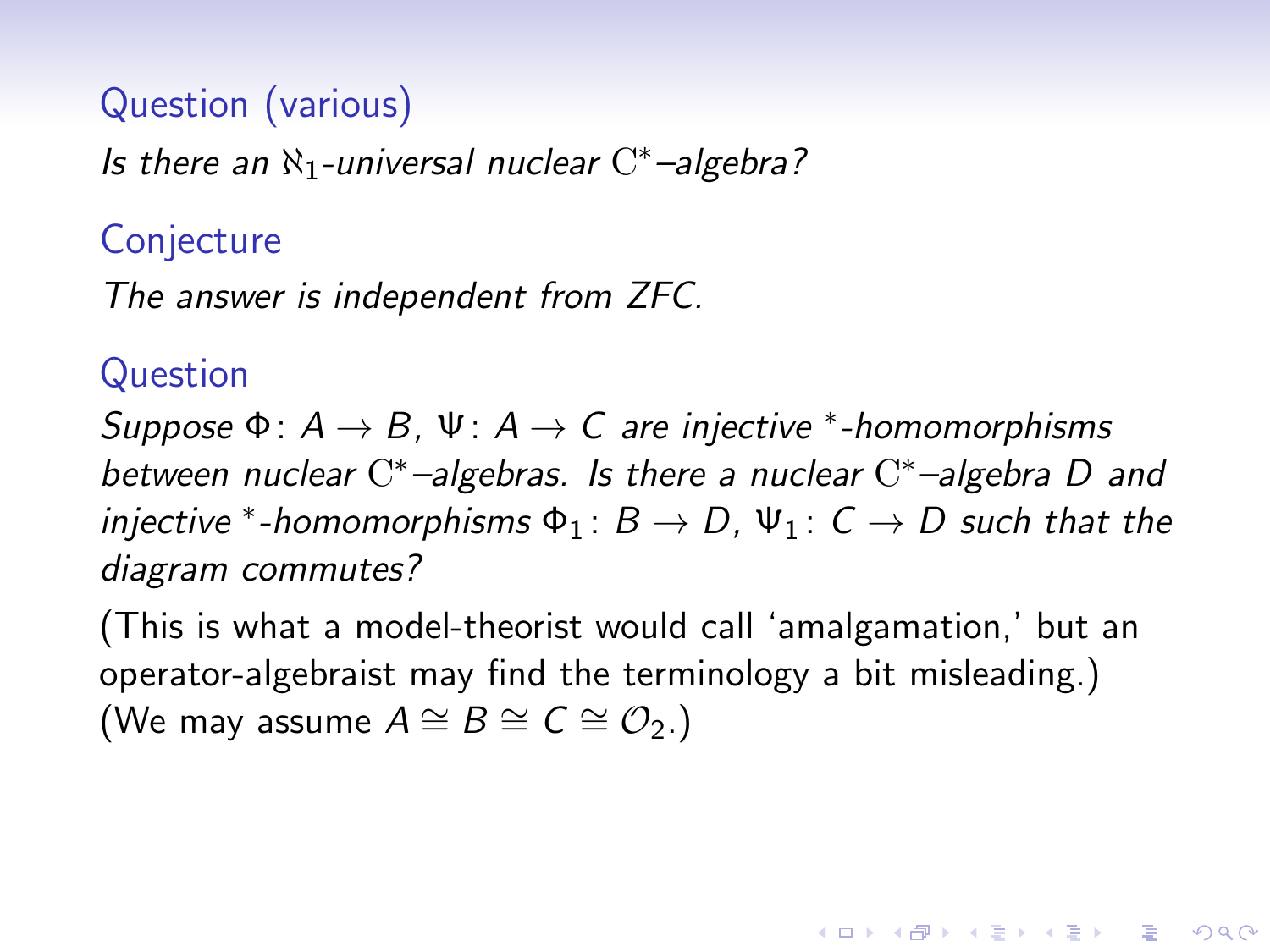Is there an  $\aleph_1$ -universal nuclear  $C^*$ -algebra?

### **Conjecture**

The answer is independent from ZFC.

#### Question

Suppose  $\Phi: A \to B$ ,  $\Psi: A \to C$  are injective \*-homomorphisms between nuclear  $C^*$ -algebras. Is there a nuclear  $C^*$ -algebra D and injective \*-homomorphisms  $\Phi_1: B \to D$ ,  $\Psi_1: C \to D$  such that the diagram commutes?

(This is what a model-theorist would call 'amalgamation,' but an operator-algebraist may find the terminology a bit misleading.) (We may assume  $A \cong B \cong C \cong \mathcal{O}_2$ .)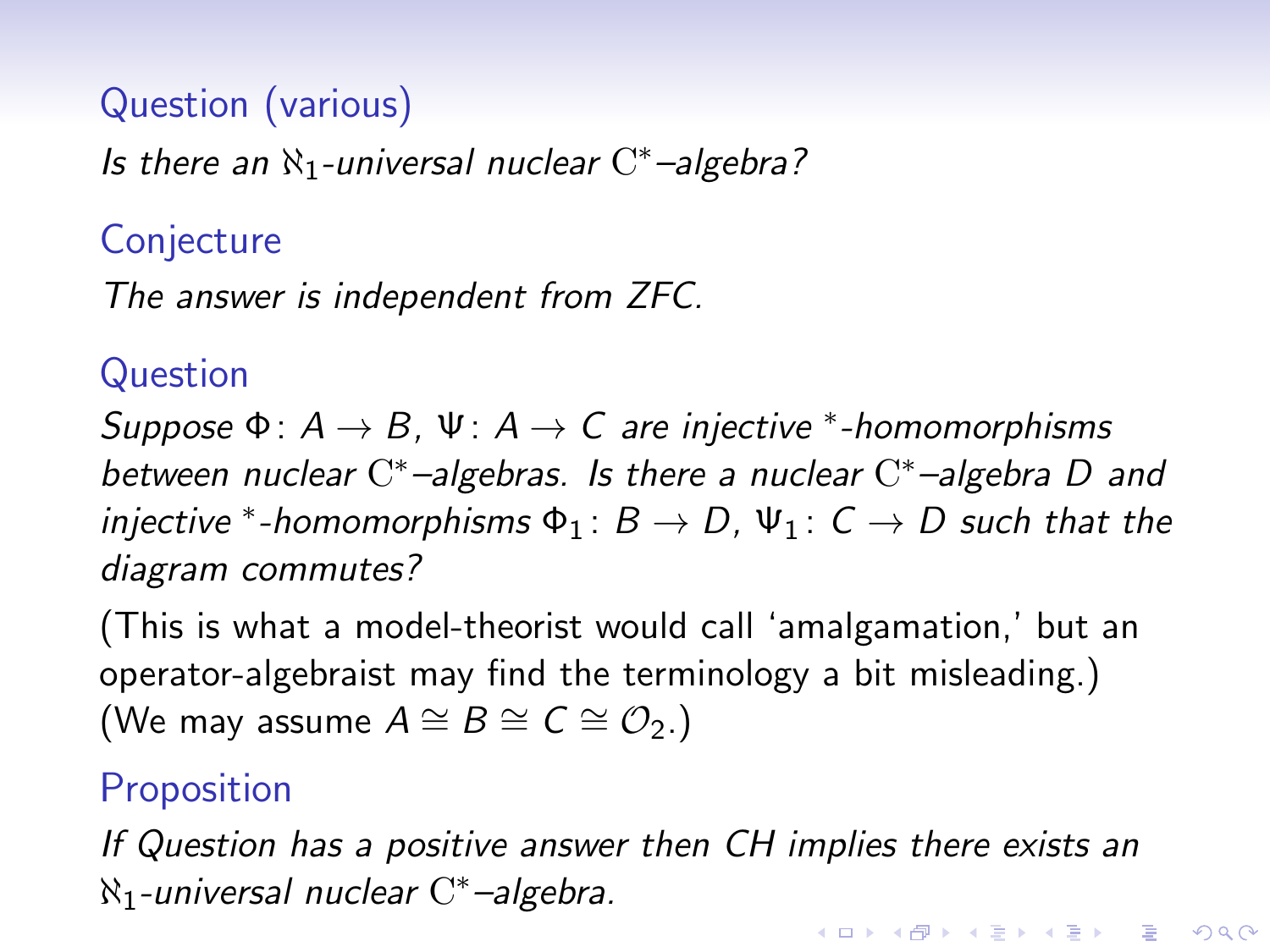Is there an  $\aleph_1$ -universal nuclear  $C^*$ -algebra?

### **Conjecture**

The answer is independent from ZFC.

#### Question

Suppose  $\Phi: A \to B$ ,  $\Psi: A \to C$  are injective \*-homomorphisms between nuclear  $C^*$ -algebras. Is there a nuclear  $C^*$ -algebra D and injective \*-homomorphisms  $\Phi_1: B \to D$ ,  $\Psi_1: C \to D$  such that the diagram commutes?

(This is what a model-theorist would call 'amalgamation,' but an operator-algebraist may find the terminology a bit misleading.) (We may assume  $A \cong B \cong C \cong \mathcal{O}_2$ .)

# **Proposition**

If Question has a positive answer then CH implies there exists an  $\aleph_1$ -universal nuclear  $\mathrm{C}^*$ -algebra. KID KA KERKER KID KO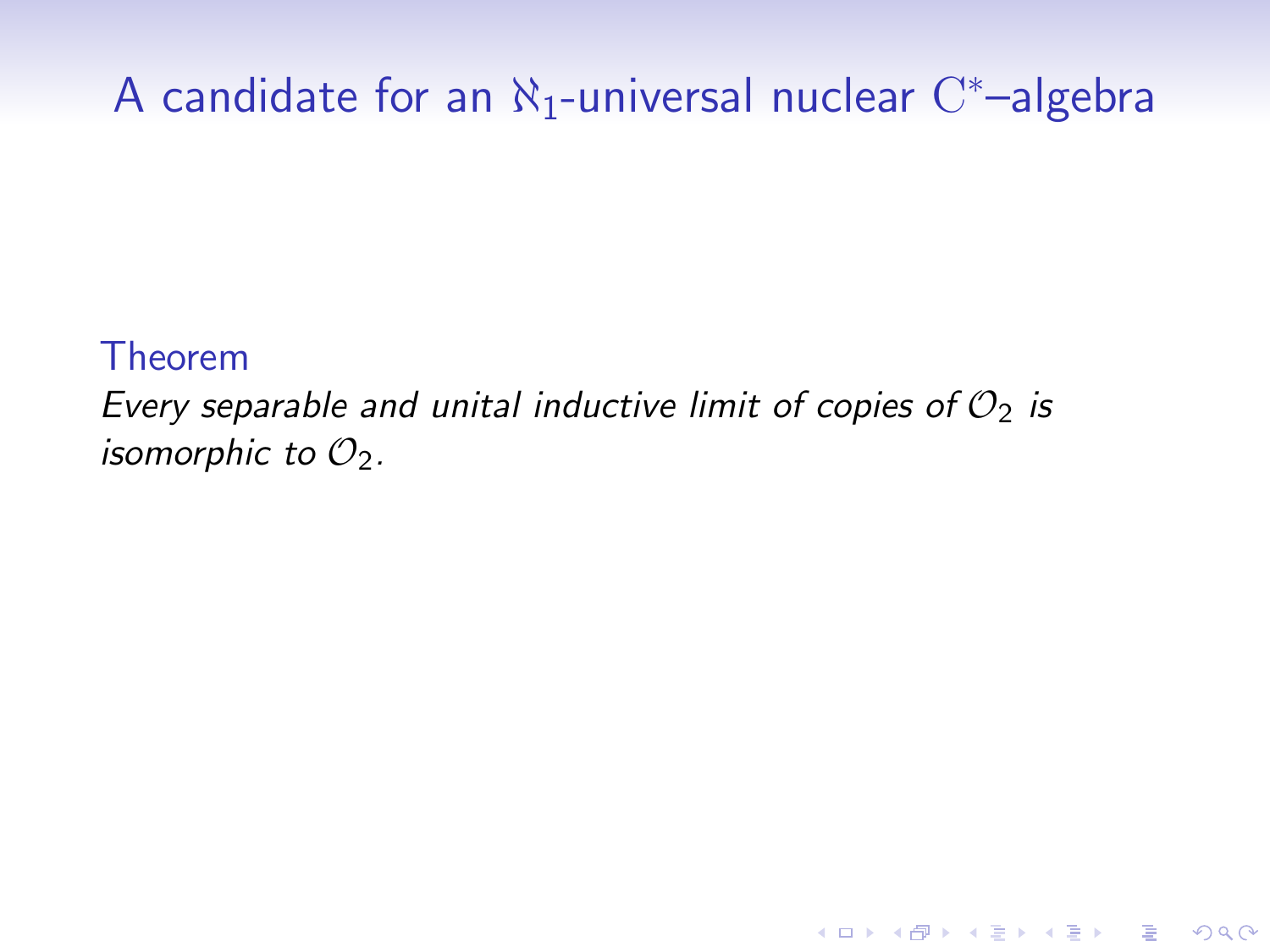# A candidate for an  $\aleph_1$ -universal nuclear  $\mathrm{C}^*$ -algebra

#### Theorem

Every separable and unital inductive limit of copies of  $\mathcal{O}_2$  is isomorphic to  $\mathcal{O}_2$ .

K ロ ▶ K @ ▶ K 할 > K 할 > 1 할 > 1 이익어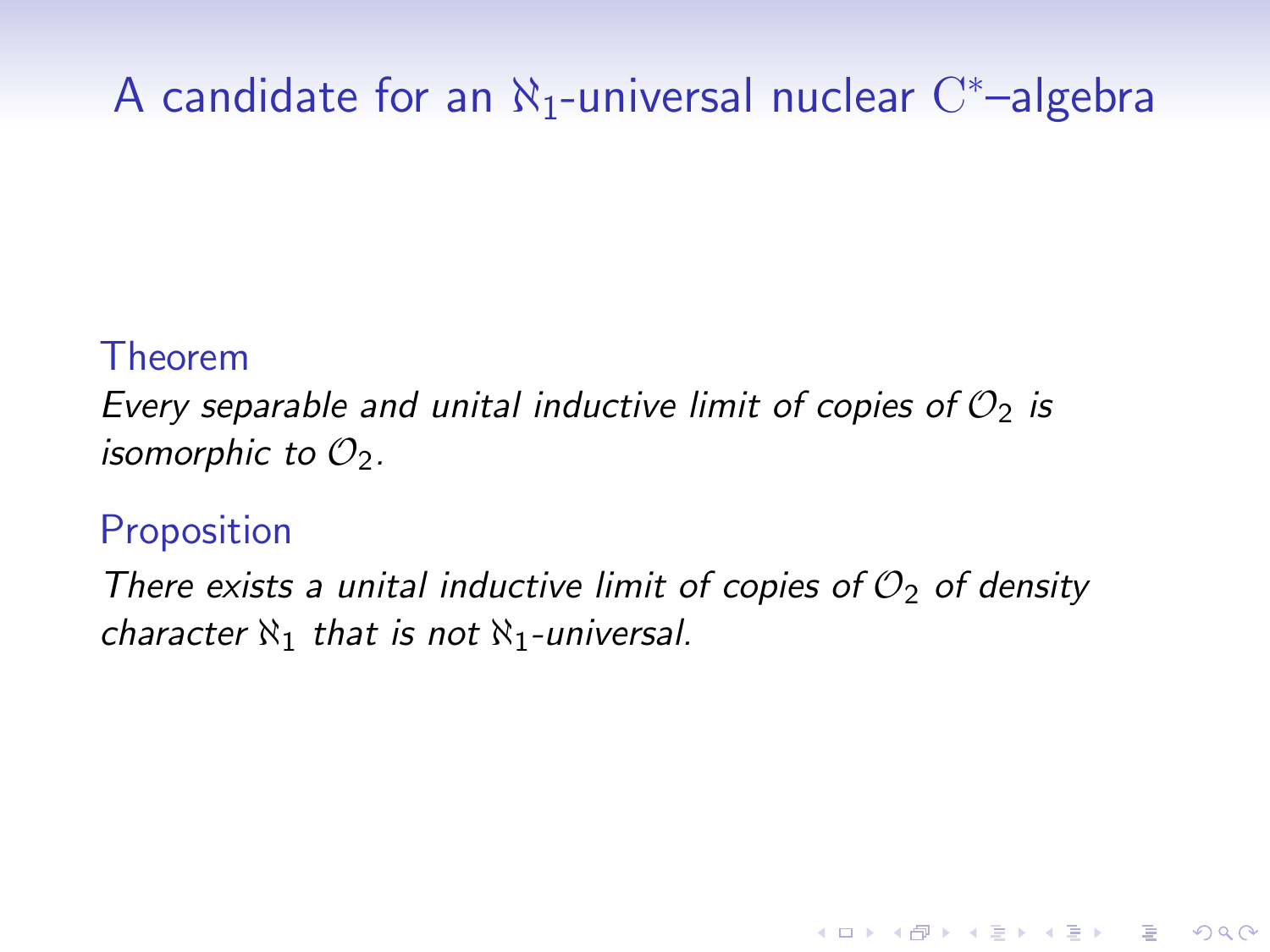# A candidate for an  $\aleph_1$ -universal nuclear  $\mathrm{C}^*$ -algebra

#### Theorem

Every separable and unital inductive limit of copies of  $\mathcal{O}_2$  is isomorphic to  $\mathcal{O}_2$ .

# Proposition

There exists a unital inductive limit of copies of  $\mathcal{O}_2$  of density character  $\aleph_1$  that is not  $\aleph_1$ -universal.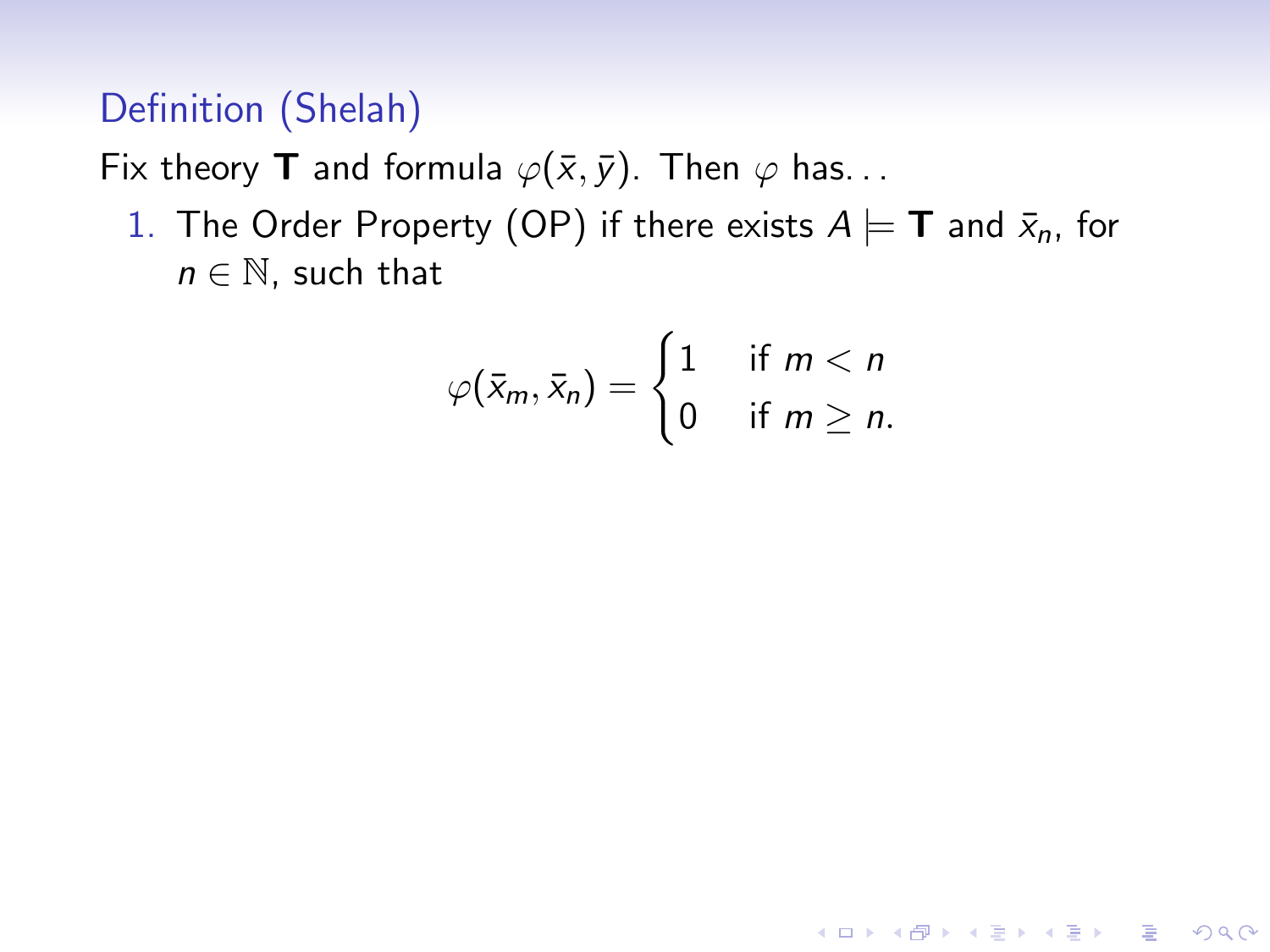# Definition (Shelah)

Fix theory **T** and formula  $\varphi(\bar{x}, \bar{y})$ . Then  $\varphi$  has...

1. The Order Property (OP) if there exists  $A \models T$  and  $\bar{x}_n$ , for  $n \in \mathbb{N}$ , such that

$$
\varphi(\bar{x}_m,\bar{x}_n)=\begin{cases}1 & \text{if } m < n\\0 & \text{if } m \geq n.\end{cases}
$$

K ロ ▶ K @ ▶ K 할 > K 할 > 1 할 > 1 이익어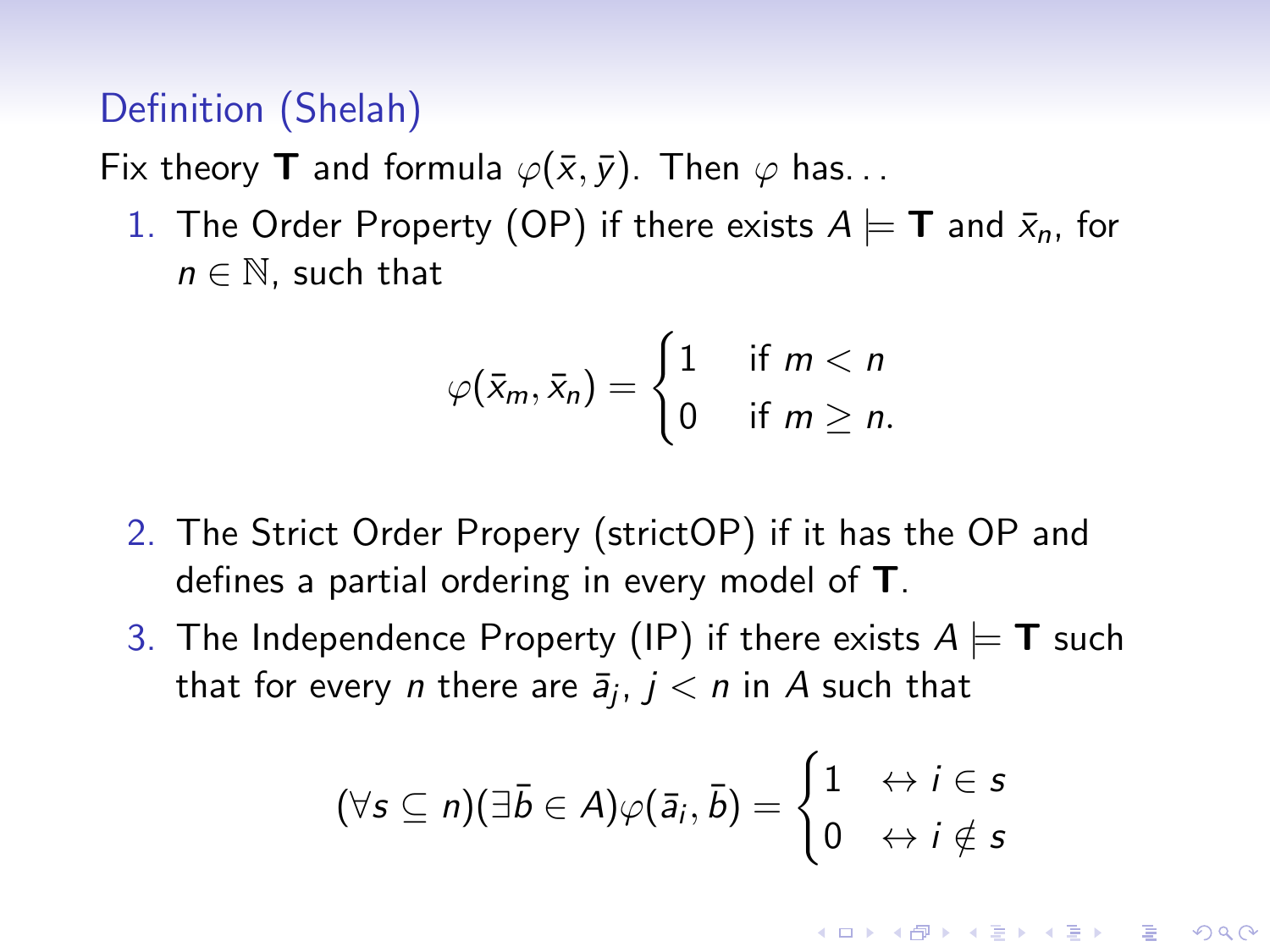### Definition (Shelah)

Fix theory **T** and formula  $\varphi(\bar{x}, \bar{y})$ . Then  $\varphi$  has...

1. The Order Property (OP) if there exists  $A \models T$  and  $\bar{x}_n$ , for  $n \in \mathbb{N}$ , such that

$$
\varphi(\bar{x}_m,\bar{x}_n)=\begin{cases}1 & \text{if } m < n\\0 & \text{if } m \geq n.\end{cases}
$$

- 2. The Strict Order Propery (strictOP) if it has the OP and defines a partial ordering in every model of T.
- 3. The Independence Property (IP) if there exists  $A \models T$  such that for every  $n$  there are  $\bar{a}_j$ ,  $j < n$  in  $A$  such that

$$
(\forall s\subseteq n)(\exists \bar b\in A)\varphi(\bar a_i,\bar b)=\begin{cases}1\quad \leftrightarrow i\in s\\0\quad \leftrightarrow i\notin s\end{cases}
$$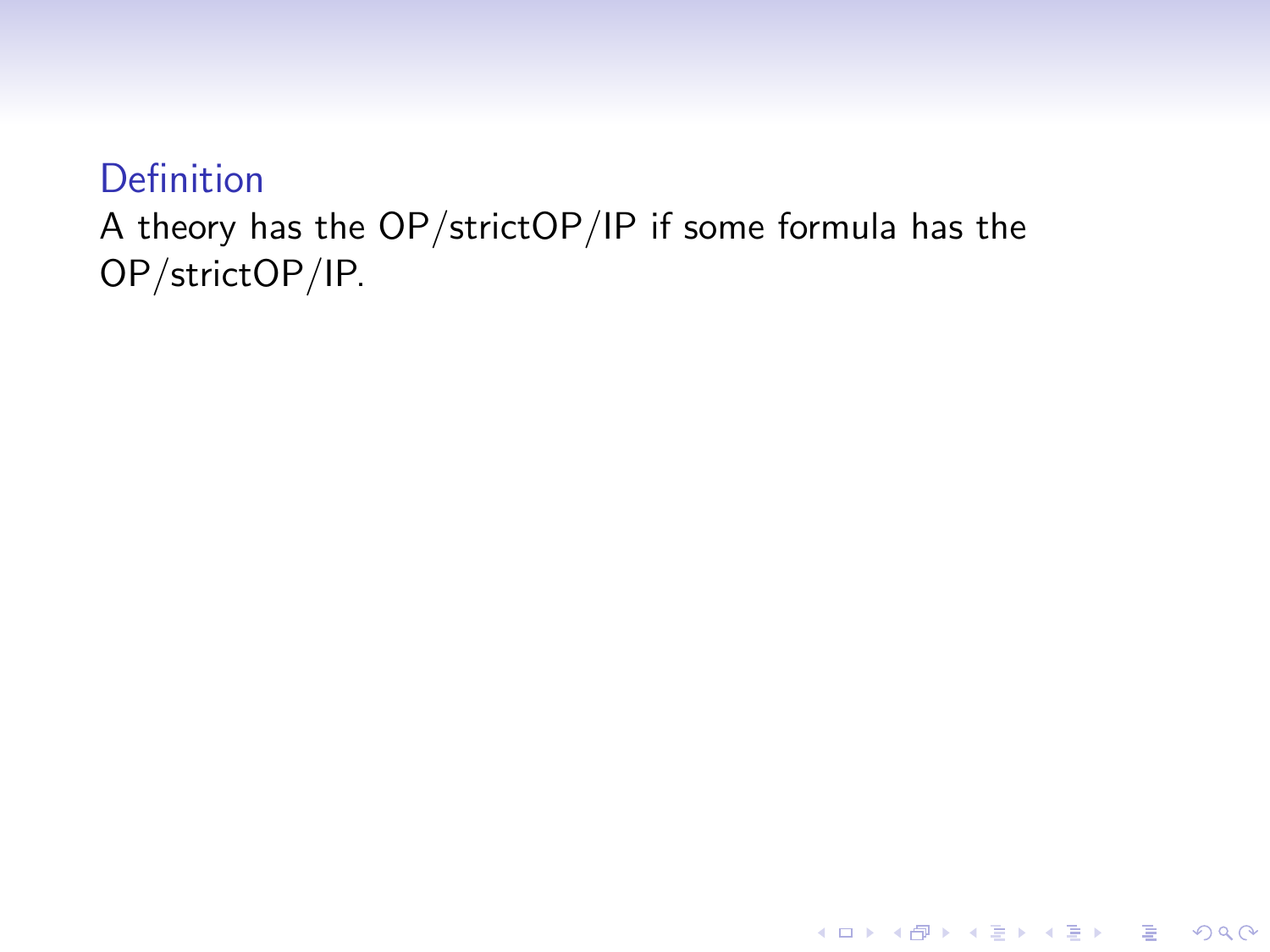### A theory has the OP/strictOP/IP if some formula has the OP/strictOP/IP.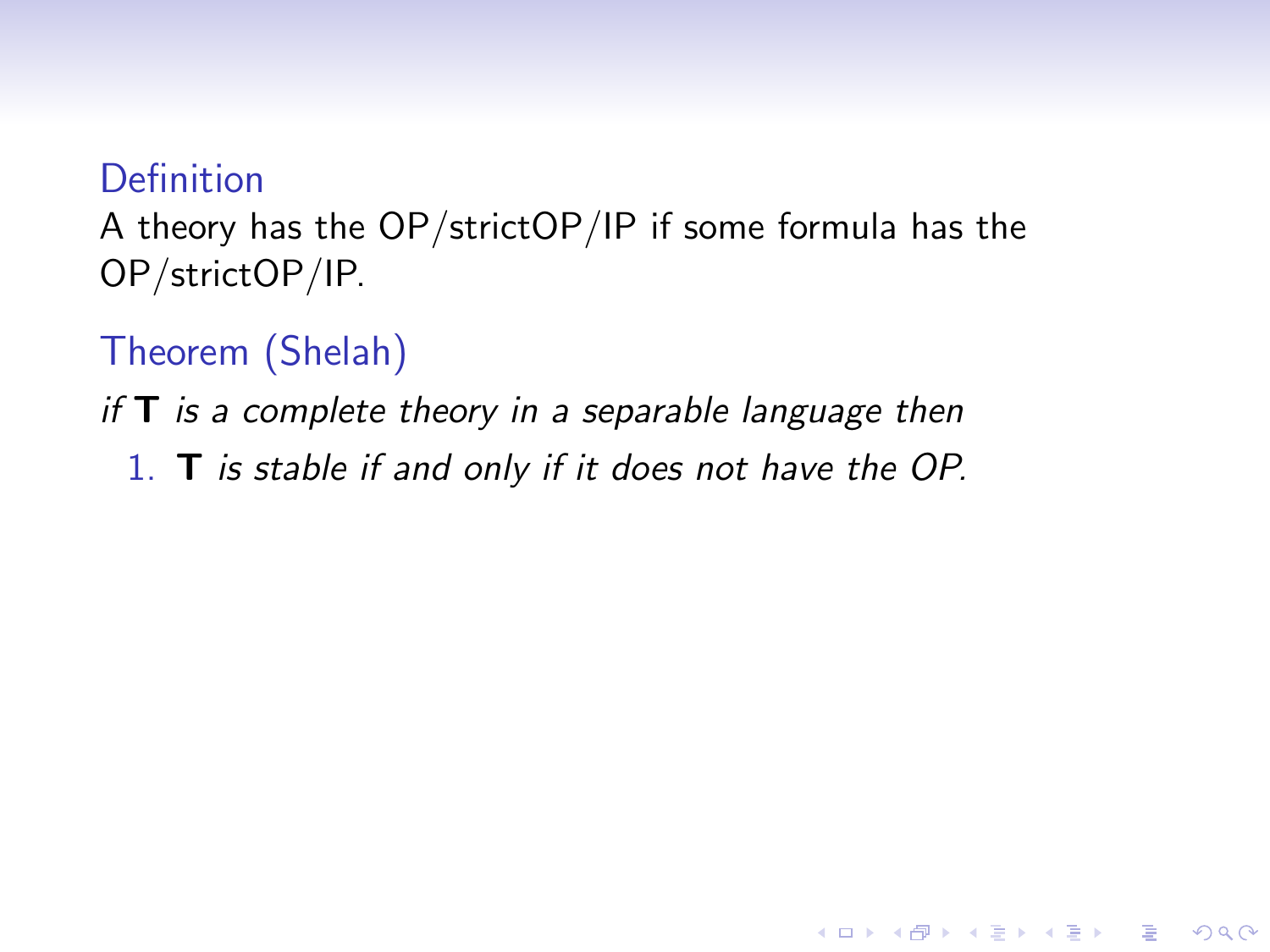A theory has the OP/strictOP/IP if some formula has the OP/strictOP/IP.

Theorem (Shelah)

if  $T$  is a complete theory in a separable language then

1. T is stable if and only if it does not have the OP.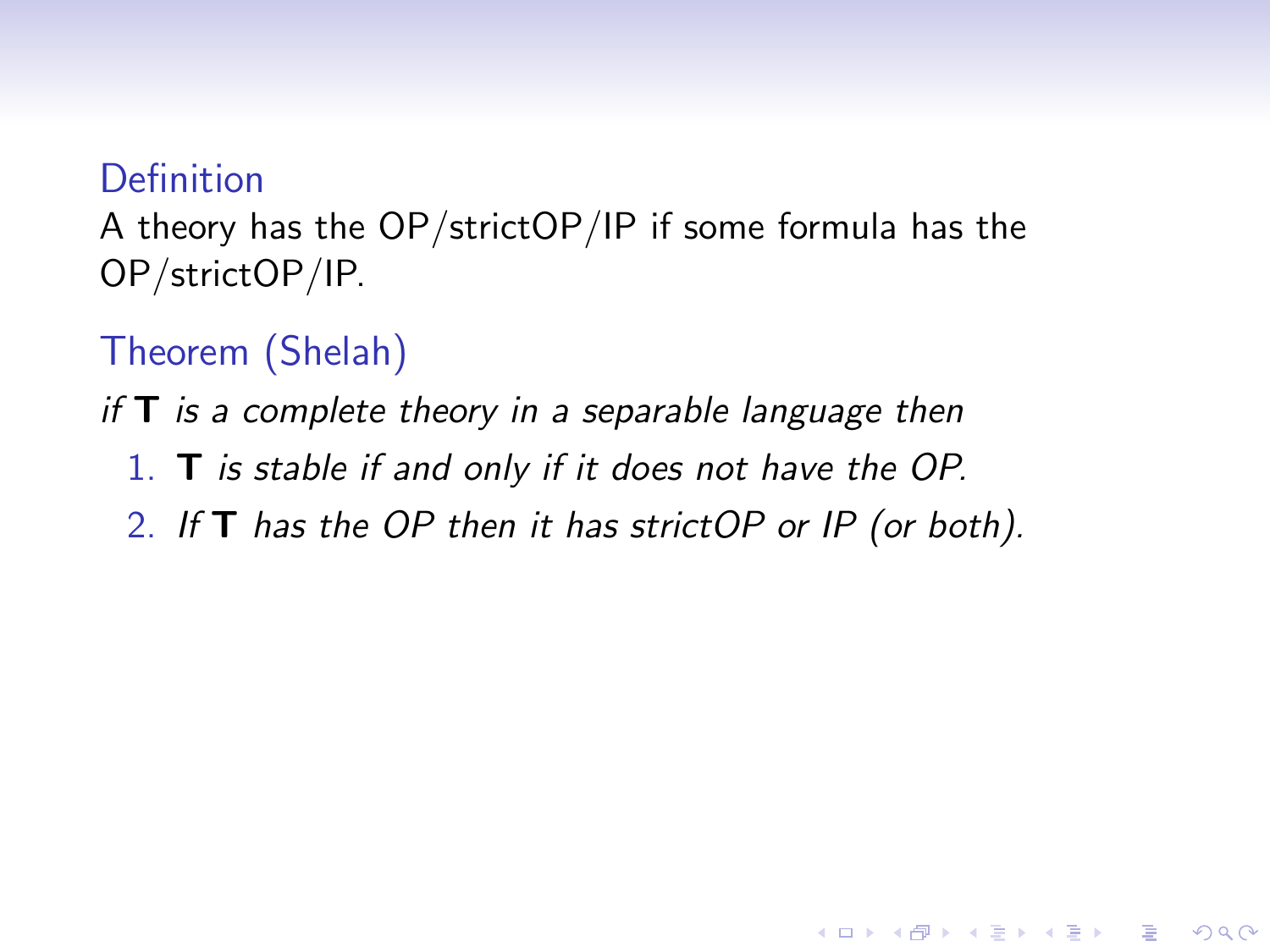A theory has the OP/strictOP/IP if some formula has the OP/strictOP/IP.

Theorem (Shelah)

if  $T$  is a complete theory in a separable language then

- 1. T is stable if and only if it does not have the OP.
- 2. If **T** has the OP then it has strictOP or IP (or both).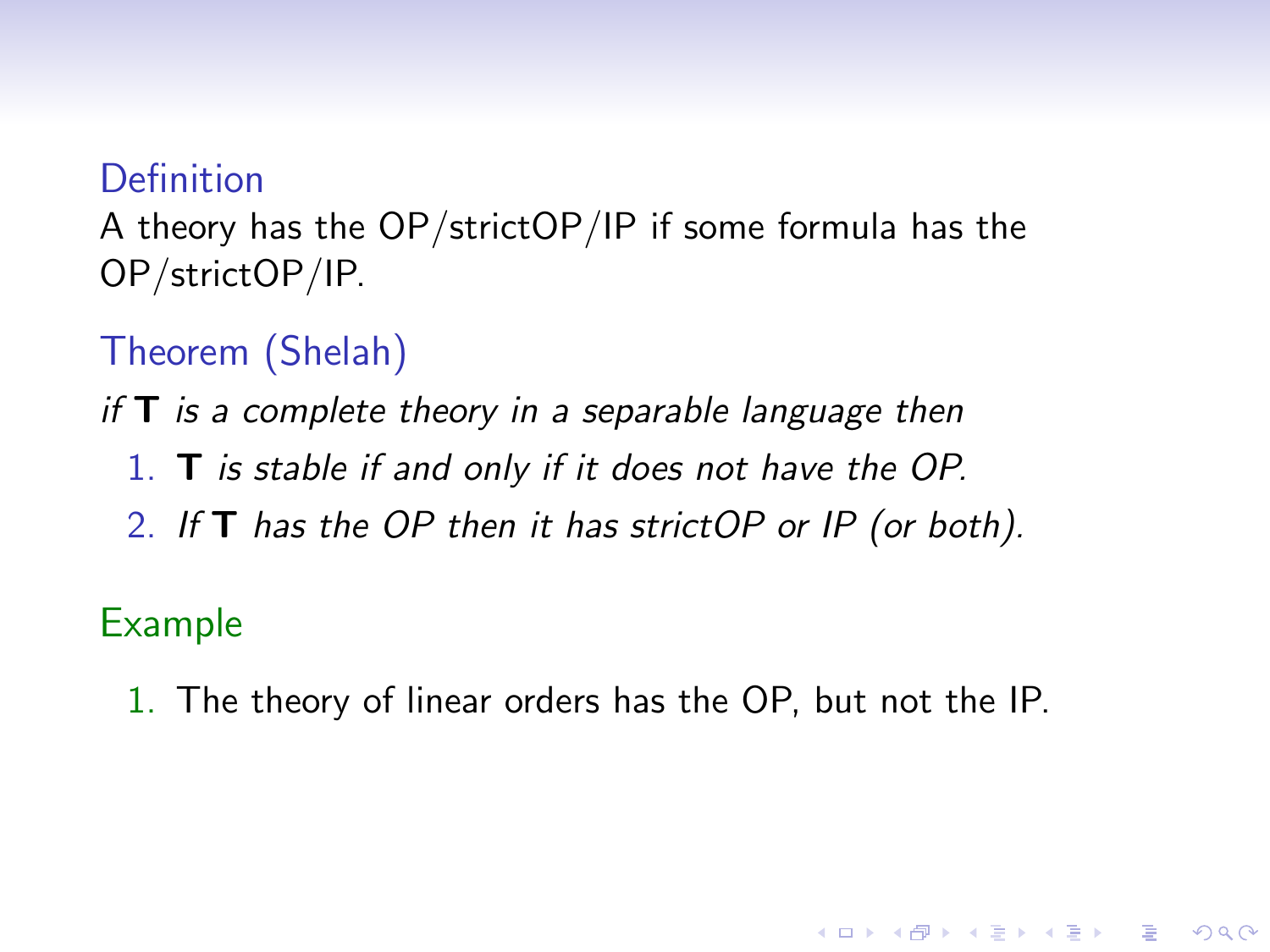A theory has the OP/strictOP/IP if some formula has the OP/strictOP/IP.

Theorem (Shelah)

if  $T$  is a complete theory in a separable language then

- 1. T is stable if and only if it does not have the OP.
- 2. If **T** has the OP then it has strictOP or IP (or both).

#### Example

1. The theory of linear orders has the OP, but not the IP.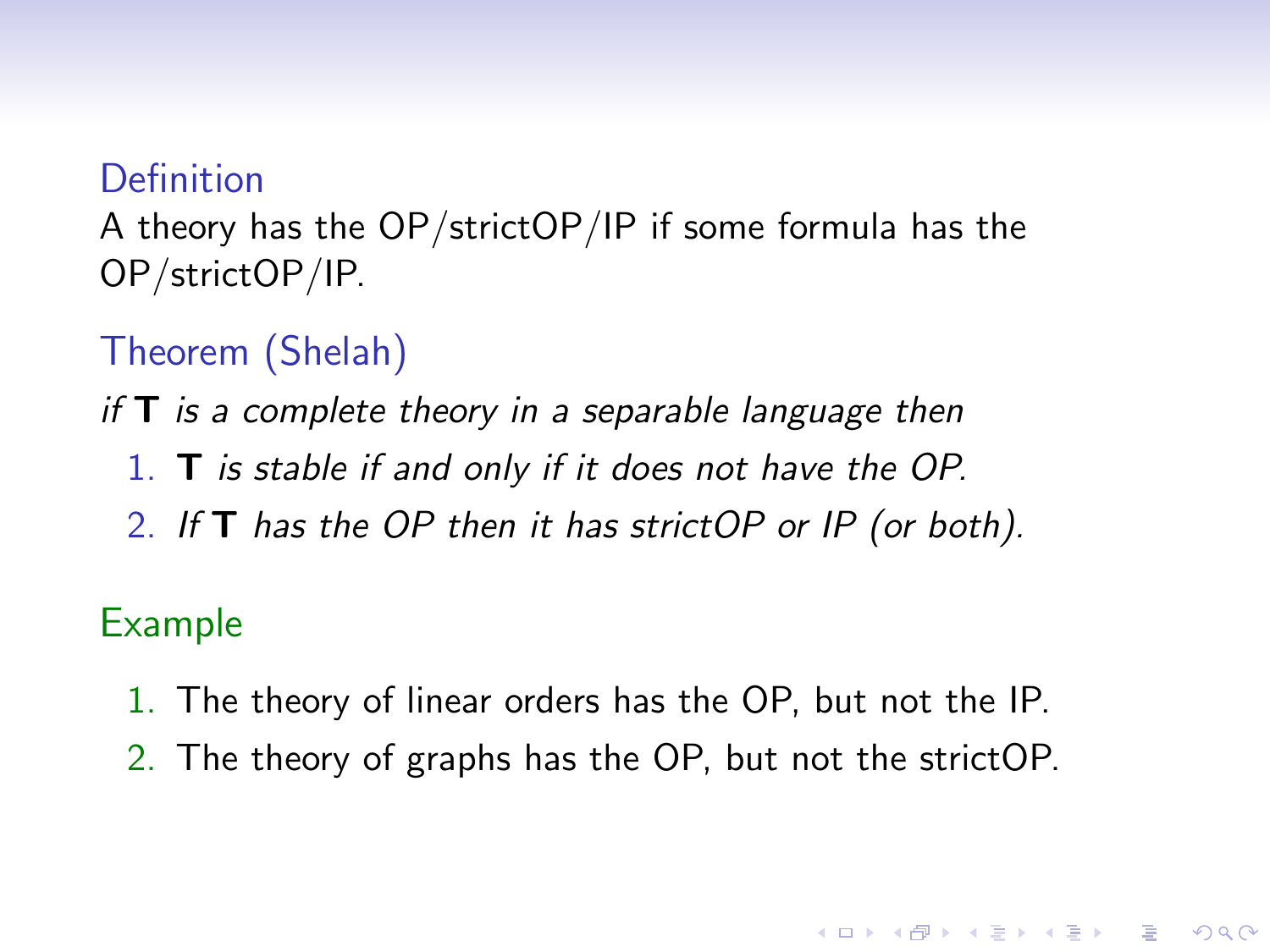A theory has the OP/strictOP/IP if some formula has the OP/strictOP/IP.

Theorem (Shelah)

if  $T$  is a complete theory in a separable language then

- 1. T is stable if and only if it does not have the OP.
- 2. If  $T$  has the OP then it has strictOP or IP (or both).

#### Example

- 1. The theory of linear orders has the OP, but not the IP.
- 2. The theory of graphs has the OP, but not the strictOP.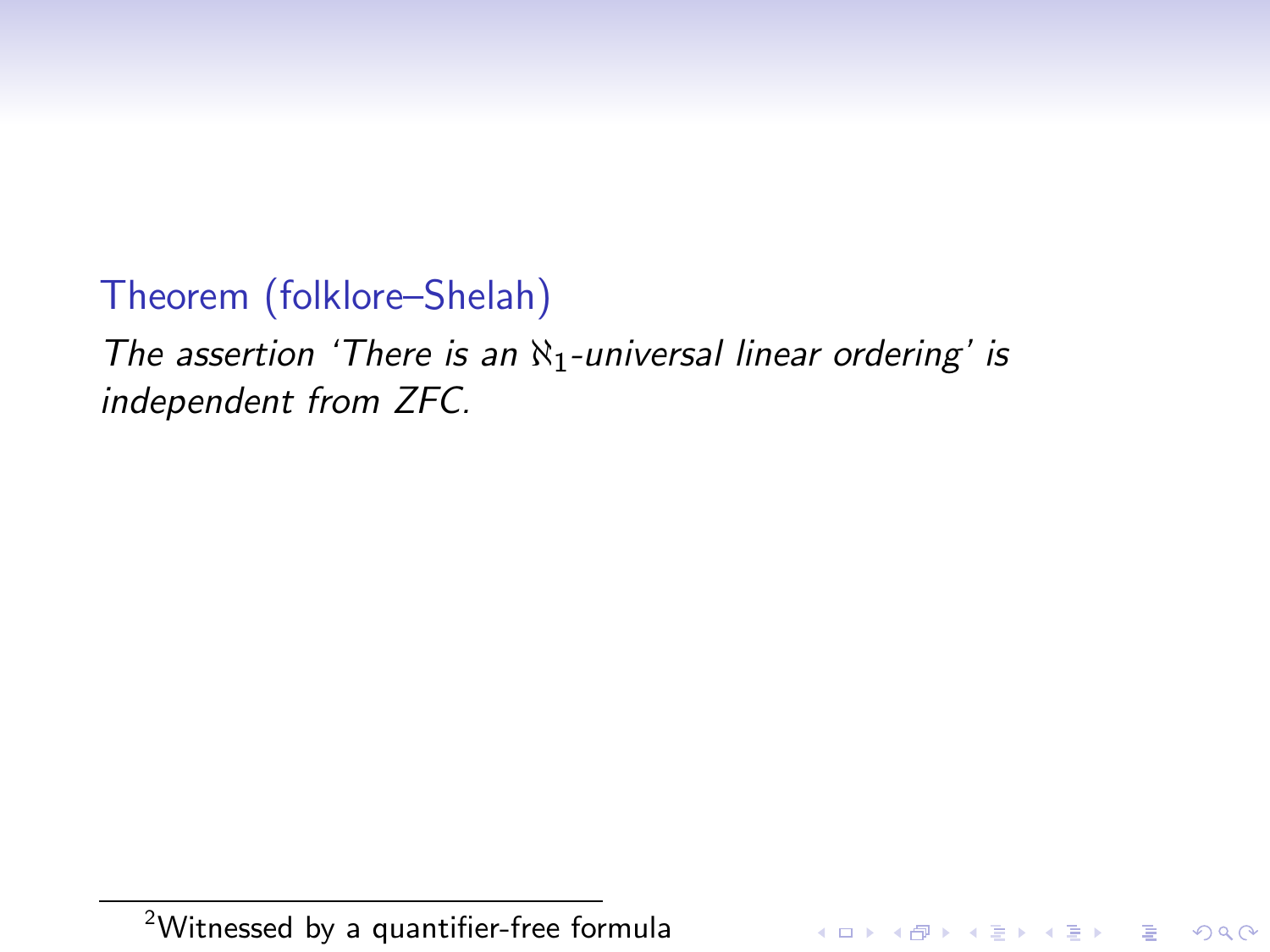# Theorem (folklore–Shelah)

The assertion 'There is an  $\aleph_1$ -universal linear ordering' is independent from ZFC.

K ロ ▶ K @ ▶ K 할 ▶ K 할 ▶ | 할 | © 9 Q @

<sup>2</sup>Witnessed by a quantifier-free formula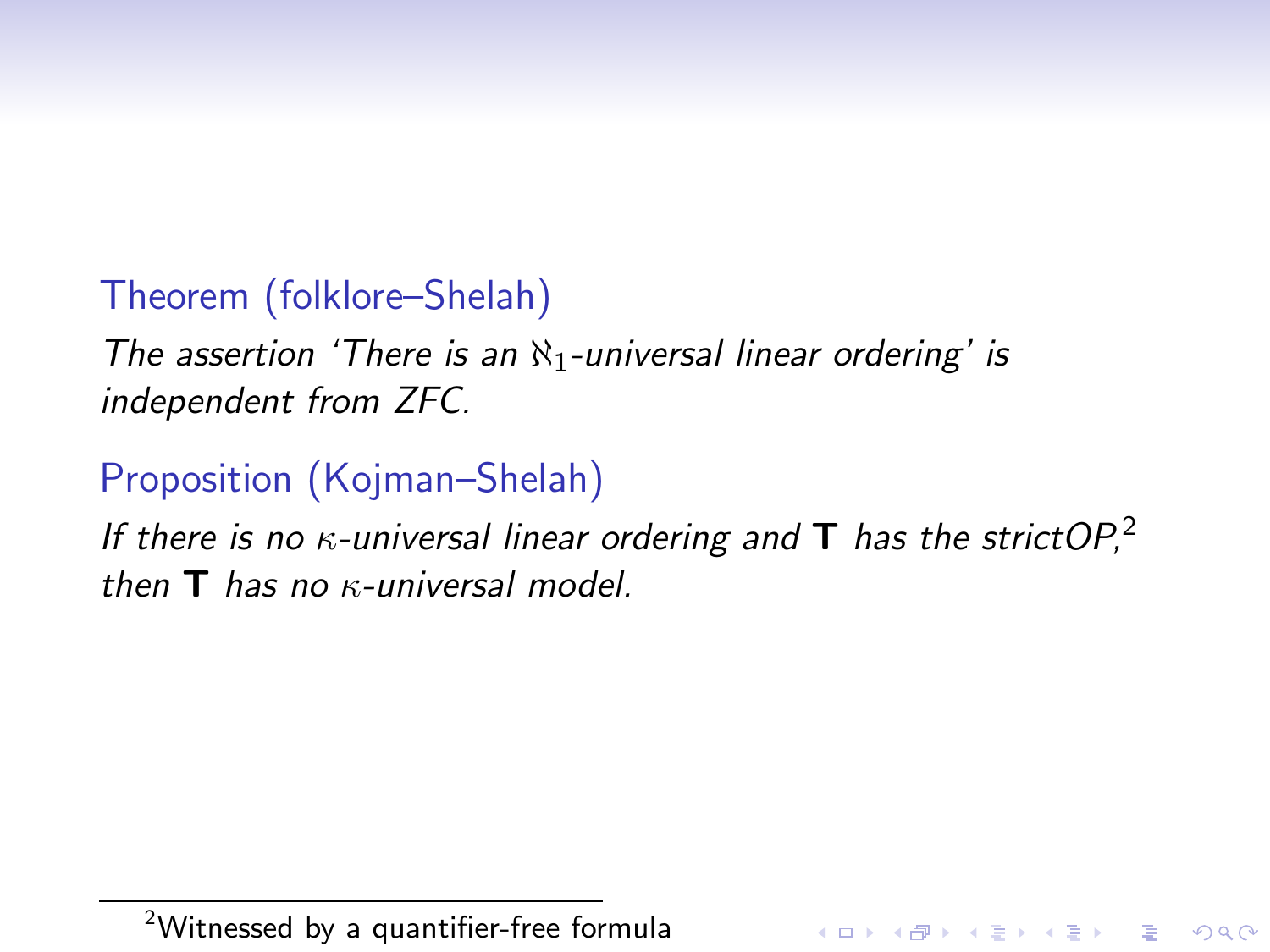# Theorem (folklore–Shelah)

The assertion 'There is an  $\aleph_1$ -universal linear ordering' is independent from ZFC.

# Proposition (Kojman–Shelah)

If there is no  $\kappa$ -universal linear ordering and **T** has the strict OP,<sup>2</sup> then  $T$  has no  $\kappa$ -universal model.

<sup>2</sup>Witnessed by a quantifier-free formula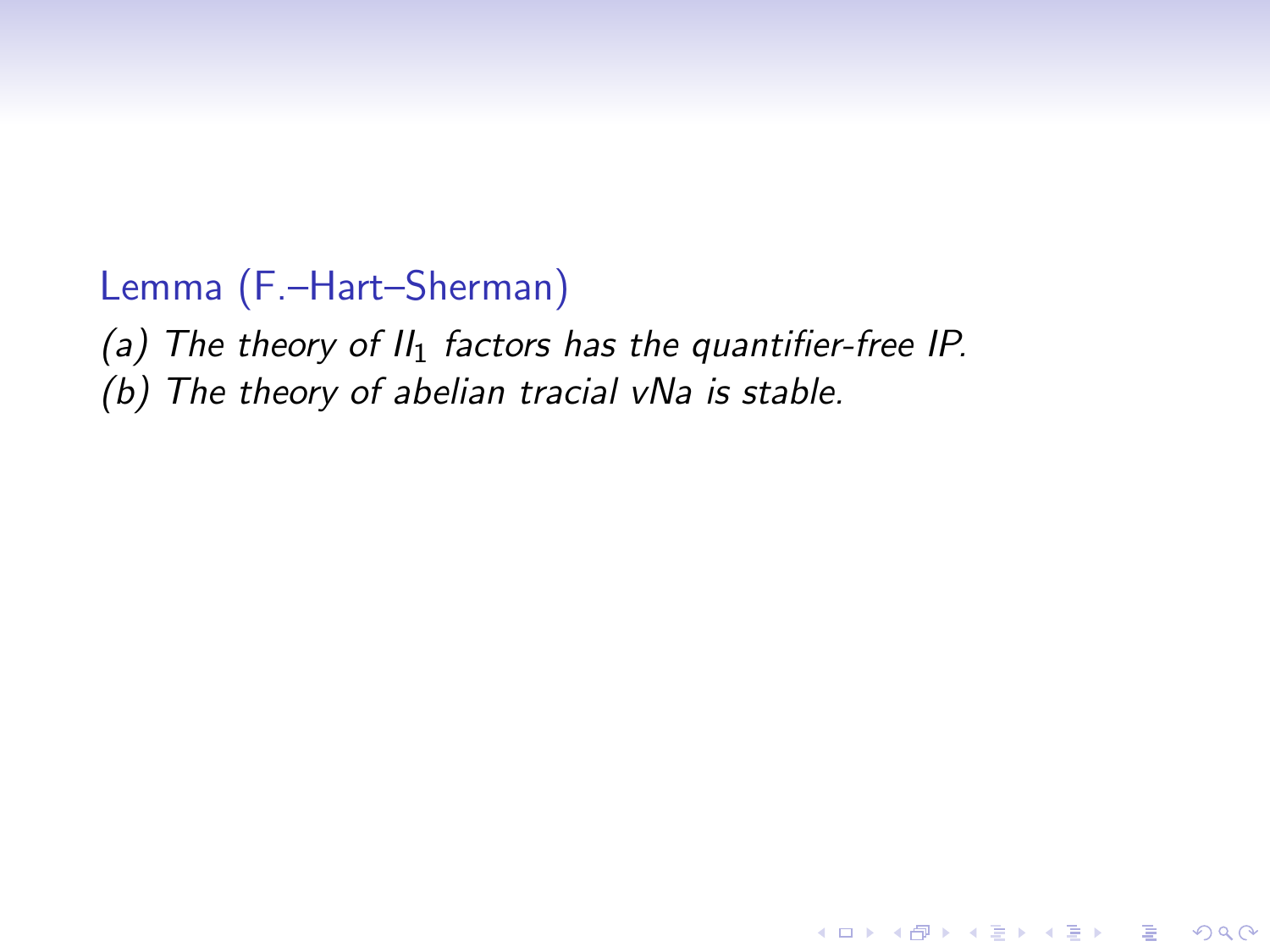## Lemma (F.–Hart–Sherman)

(a) The theory of  $II_1$  factors has the quantifier-free IP.

**KORKA SERKER ORA** 

(b) The theory of abelian tracial vNa is stable.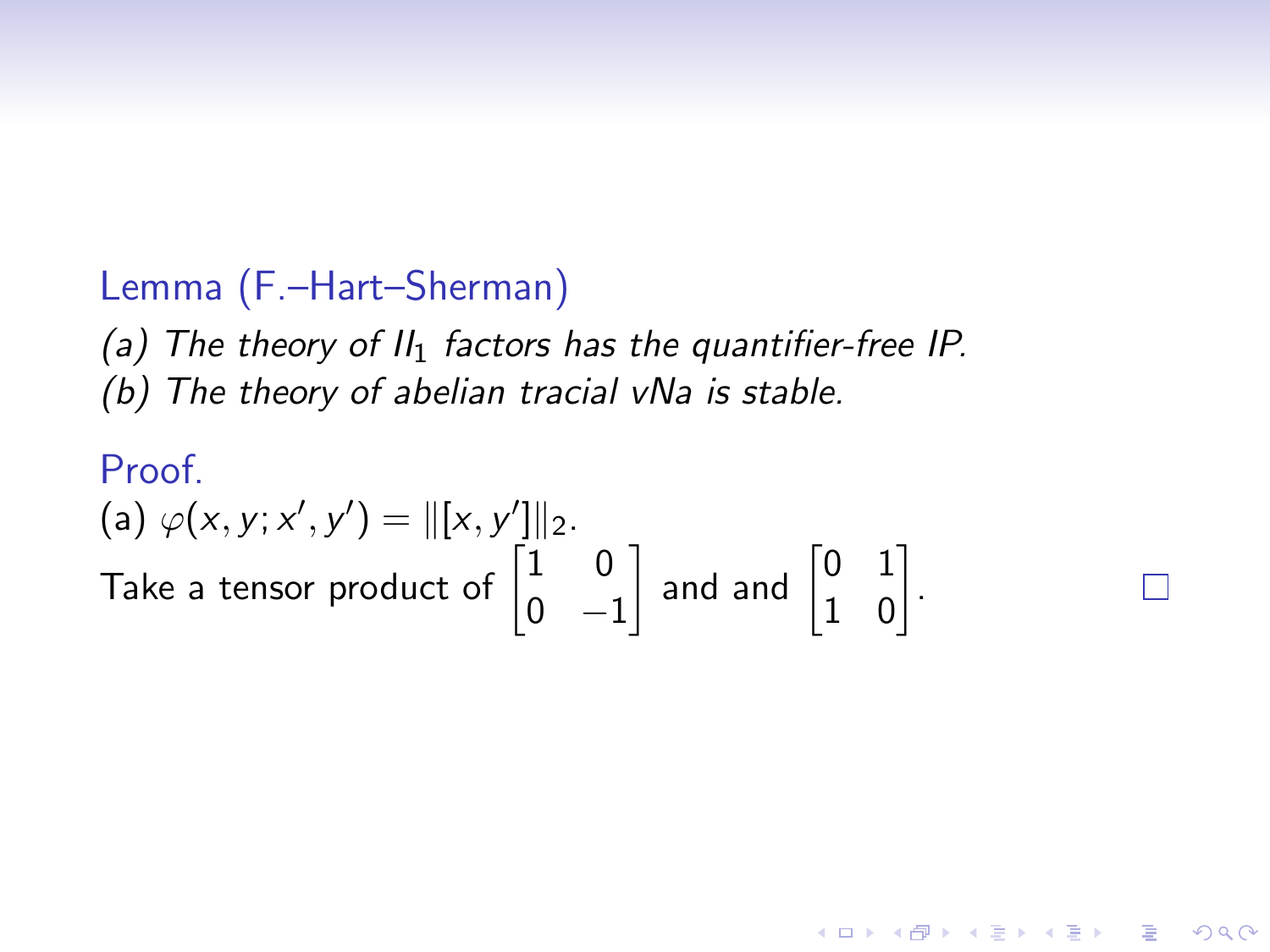# Lemma (F.–Hart–Sherman)

(a) The theory of  $II_1$  factors has the quantifier-free IP. (b) The theory of abelian tracial vNa is stable.

#### Proof. (a)  $\varphi(x, y; x', y') = ||[x, y']||_2$ . Take a tensor product of  $\begin{bmatrix} 1 & 0 \\ 0 & 0 \end{bmatrix}$  $0 -1$ and and  $\begin{bmatrix} 0 & 1 \\ 1 & 0 \end{bmatrix}$ .

4 0 > 4 4 + 4 3 + 4 3 + 5 + 9 4 0 +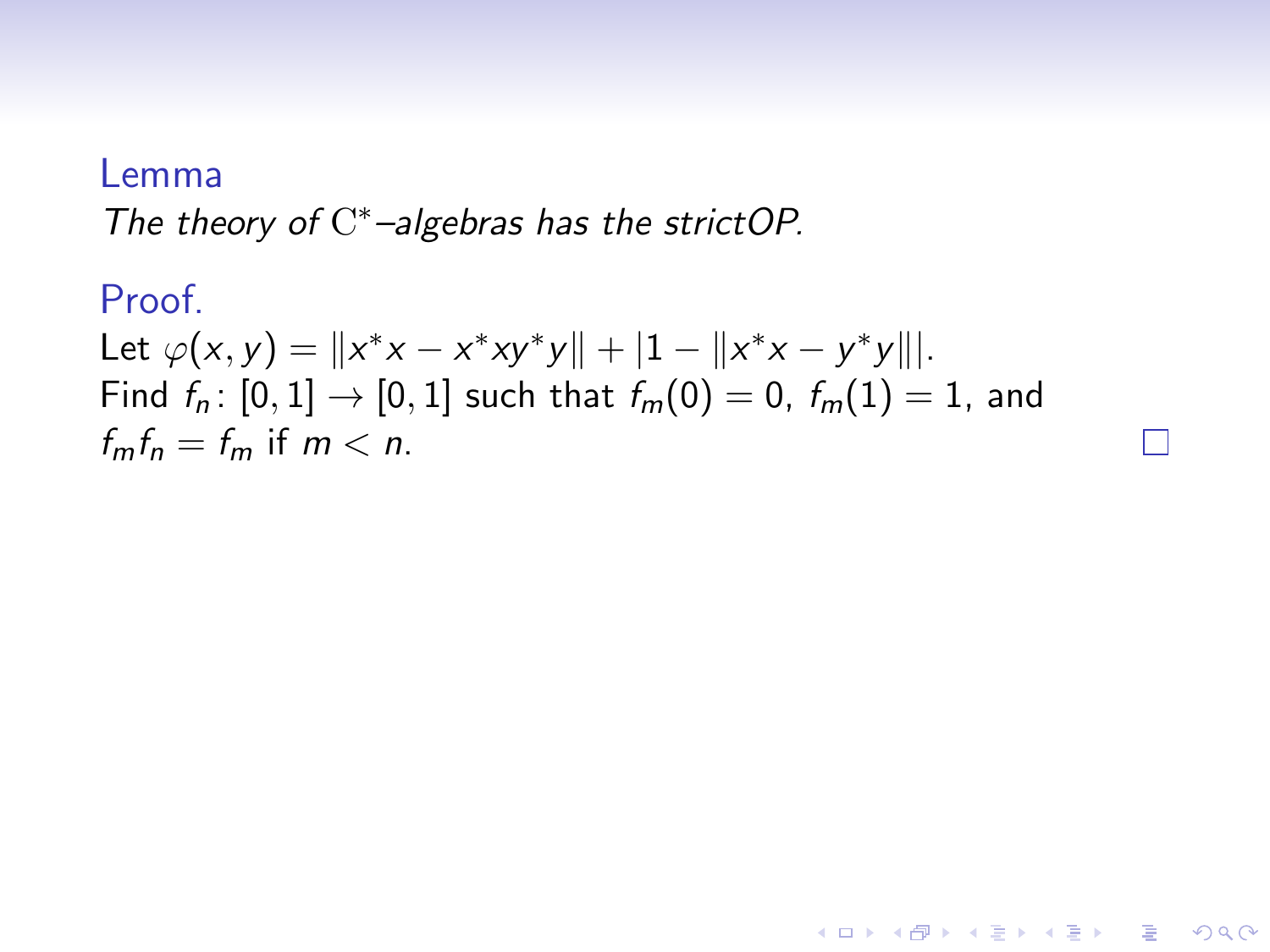#### Lemma

The theory of  $C^*$ -algebras has the strictOP.

Proof.  
\nLet 
$$
\varphi(x, y) = ||x^*x - x^*xy^*y|| + |1 - ||x^*x - y^*y|||
$$
.  
\nFind  $f_n: [0, 1] \to [0, 1]$  such that  $f_m(0) = 0$ ,  $f_m(1) = 1$ , and  
\n $f_m f_n = f_m$  if  $m < n$ .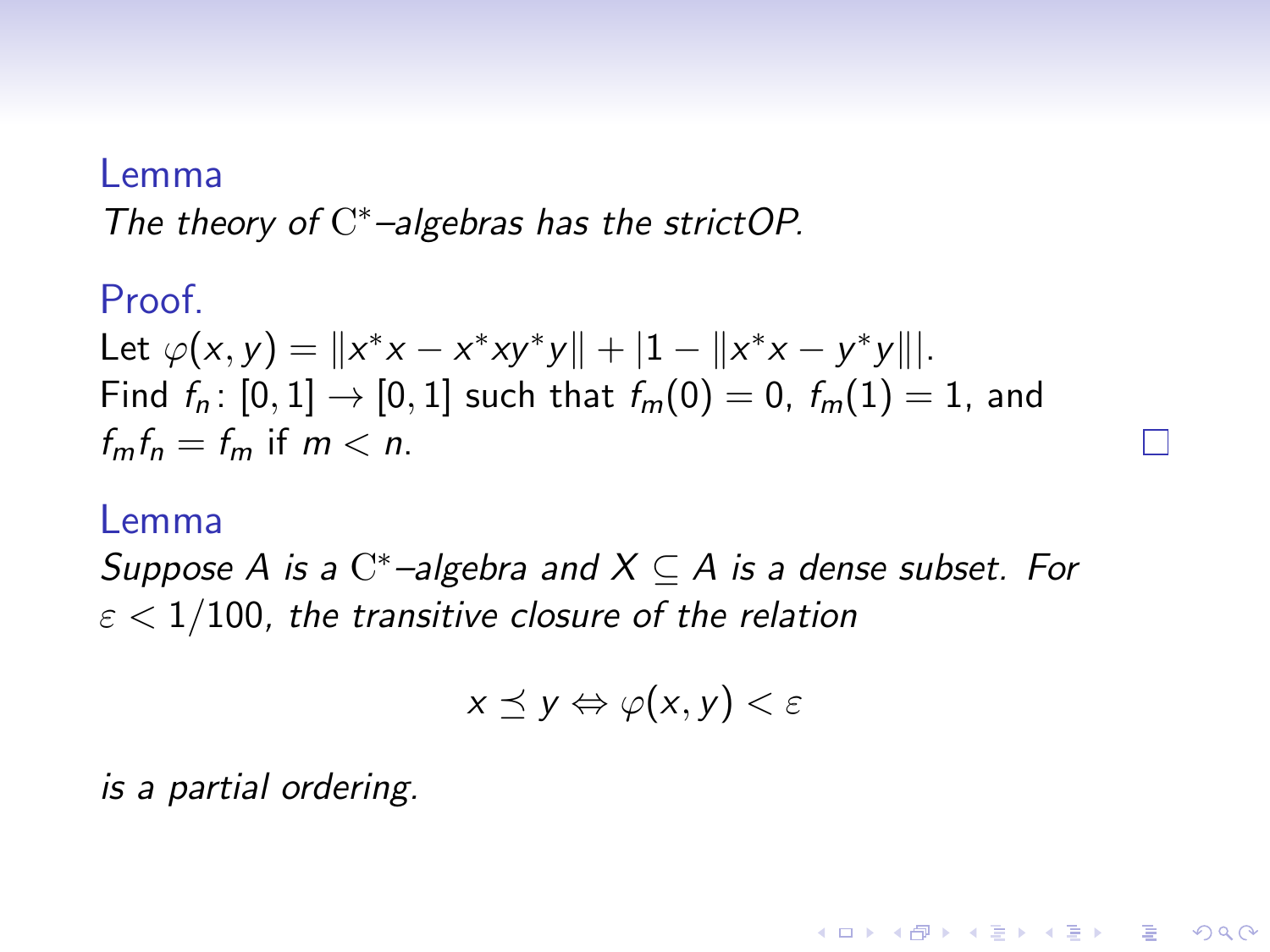#### Lemma

The theory of  $C^*$ -algebras has the strictOP.

Proof.  
\nLet 
$$
\varphi(x, y) = ||x^*x - x^*xy^*y|| + |1 - ||x^*x - y^*y|||
$$
.  
\nFind  $f_n: [0, 1] \to [0, 1]$  such that  $f_m(0) = 0$ ,  $f_m(1) = 1$ , and  $f_m f_n = f_m$  if  $m < n$ .

#### Lemma

Suppose A is a  $\mathrm{C}^*$ -algebra and  $X \subseteq A$  is a dense subset. For  $\varepsilon$  < 1/100, the transitive closure of the relation

$$
x \preceq y \Leftrightarrow \varphi(x, y) < \varepsilon
$$

**KORK ERKER ADE YOUR** 

is a partial ordering.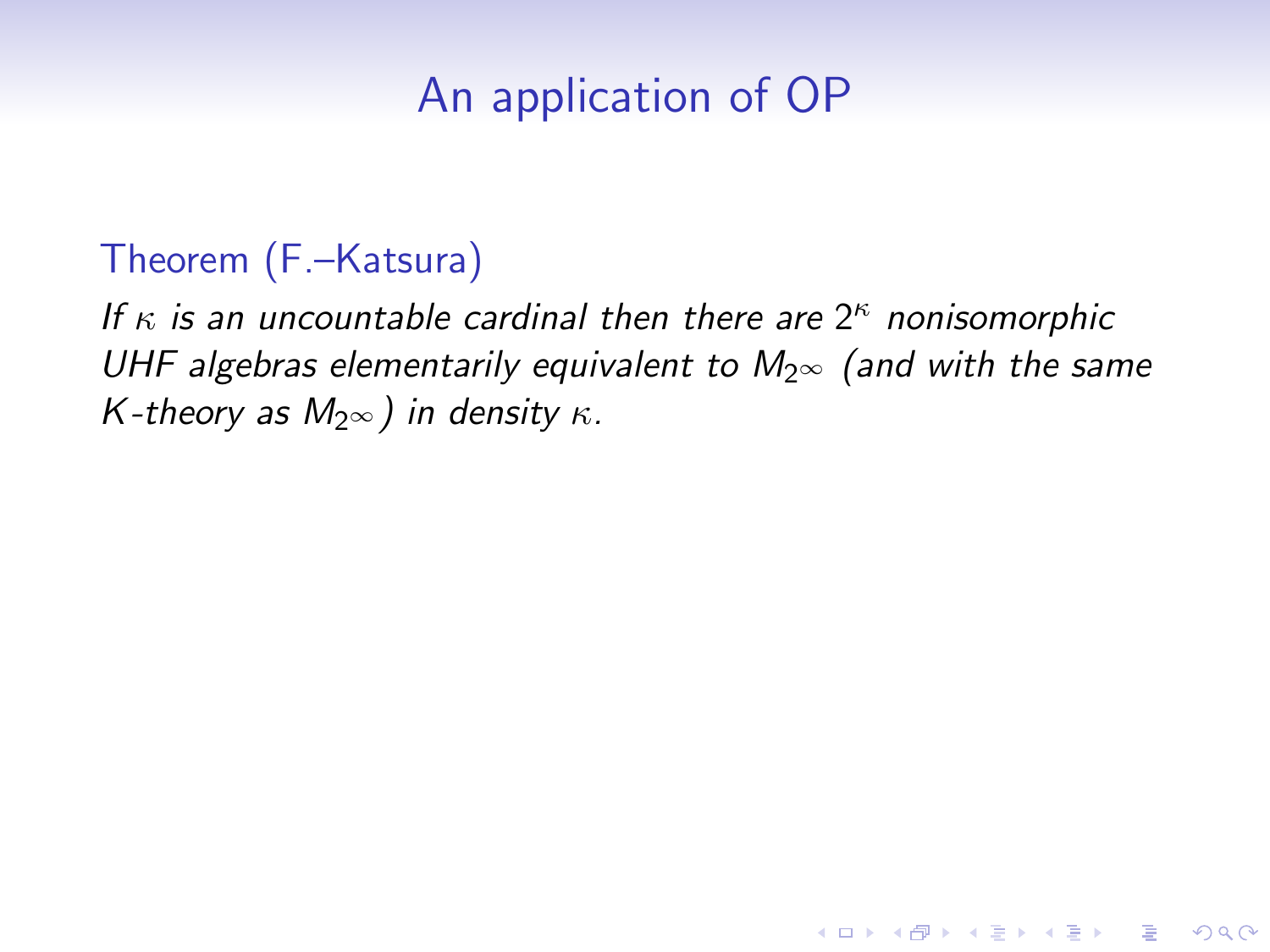# An application of OP

### Theorem (F.–Katsura)

If  $\kappa$  is an uncountable cardinal then there are  $2^{\kappa}$  nonisomorphic UHF algebras elementarily equivalent to  $M_{2^{\infty}}$  (and with the same K-theory as  $M_{2\infty}$ ) in density  $\kappa$ .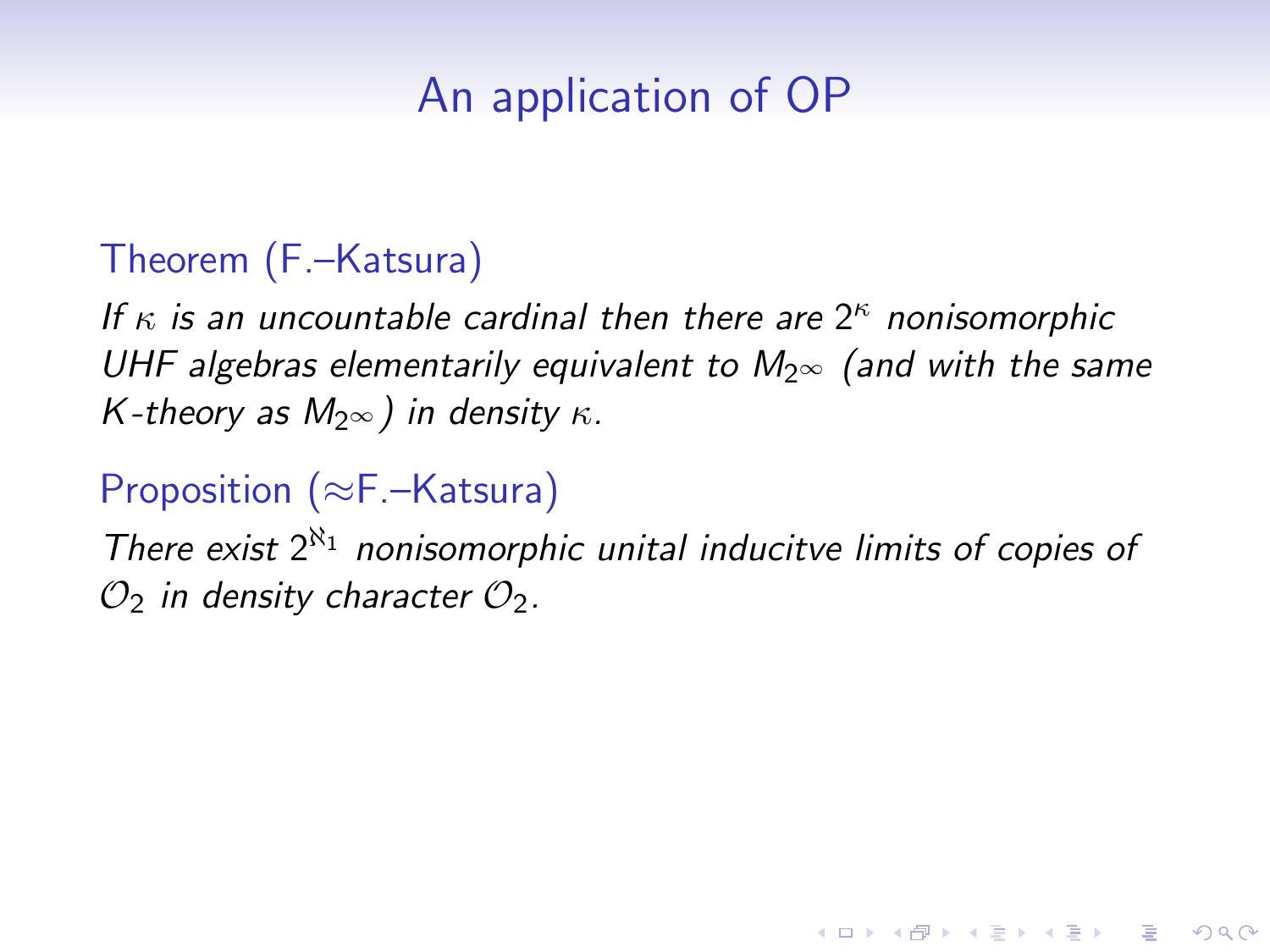# An application of OP

### Theorem (F.–Katsura)

If  $\kappa$  is an uncountable cardinal then there are  $2^{\kappa}$  nonisomorphic UHF algebras elementarily equivalent to  $M_{2^{\infty}}$  (and with the same K-theory as  $M_{2\infty}$ ) in density  $\kappa$ .

# Proposition (≈F.–Katsura)

There exist  $2^{\aleph_1}$  nonisomorphic unital inducitve limits of copies of  $\mathcal{O}_2$  in density character  $\mathcal{O}_2$ .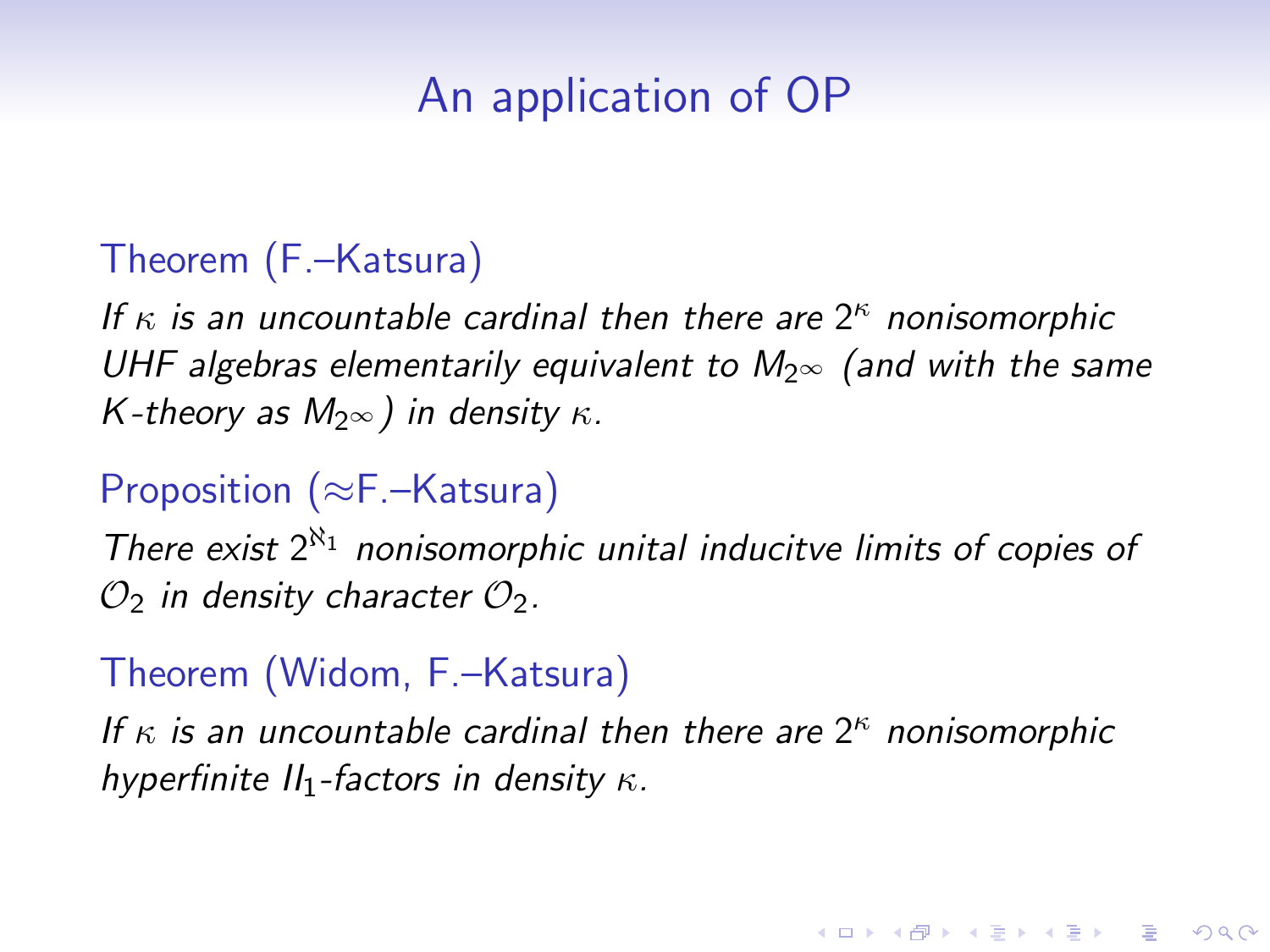# An application of OP

#### Theorem (F.–Katsura)

If  $\kappa$  is an uncountable cardinal then there are  $2^{\kappa}$  nonisomorphic UHF algebras elementarily equivalent to  $M_{2^{\infty}}$  (and with the same K-theory as  $M_{2\infty}$ ) in density  $\kappa$ .

### Proposition (≈F.–Katsura)

There exist  $2^{\aleph_1}$  nonisomorphic unital inducitve limits of copies of  $\mathcal{O}_2$  in density character  $\mathcal{O}_2$ .

### Theorem (Widom, F.–Katsura)

If  $\kappa$  is an uncountable cardinal then there are  $2^{\kappa}$  nonisomorphic hyperfinite  $II_1$ -factors in density  $\kappa$ .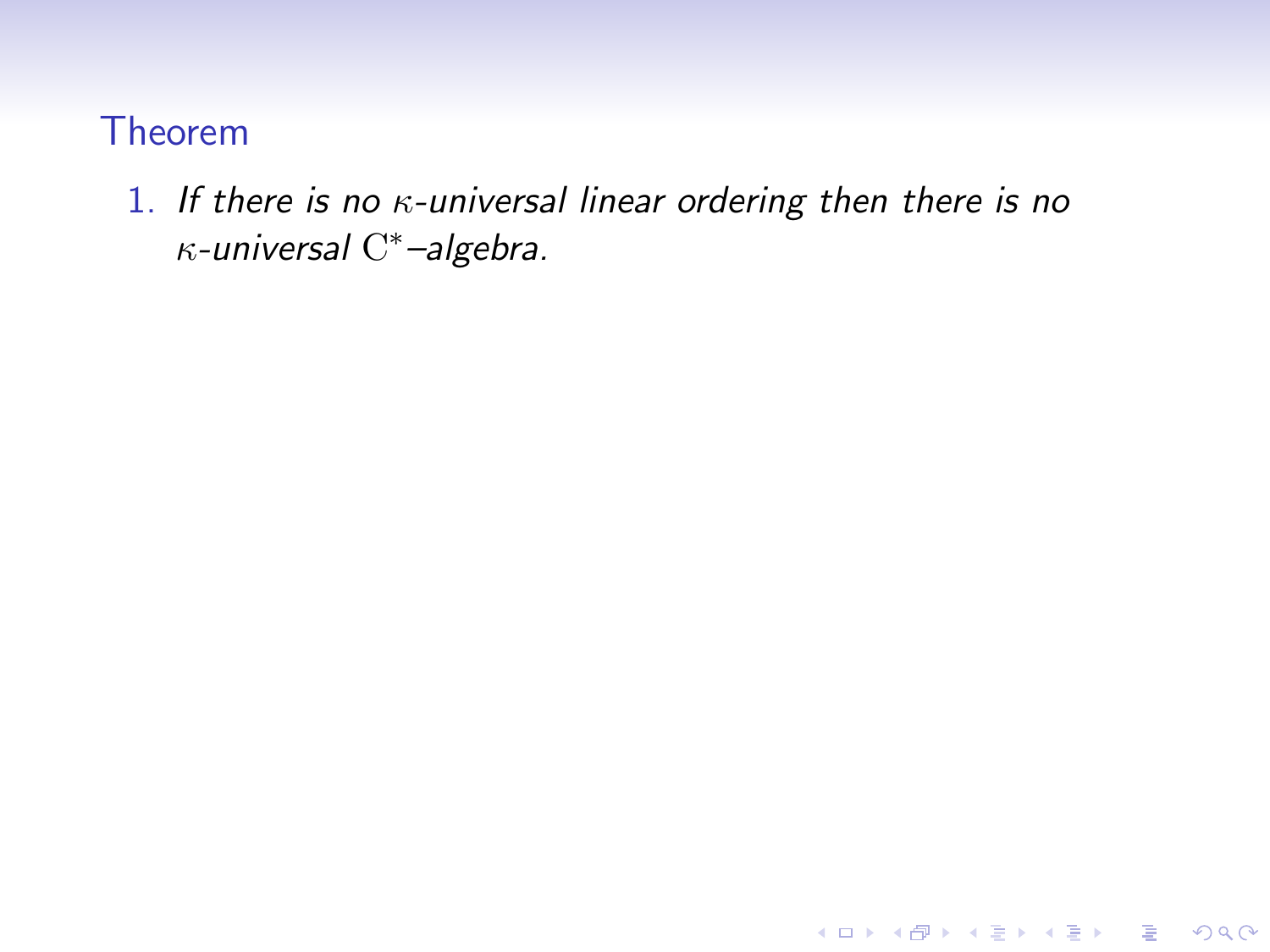### 1. If there is no  $\kappa$ -universal linear ordering then there is no  $\kappa$ -universal  $\mathrm{C}^*$ -algebra.

K ロ ▶ K @ ▶ K 할 ▶ K 할 ▶ | 할 | © 9 Q @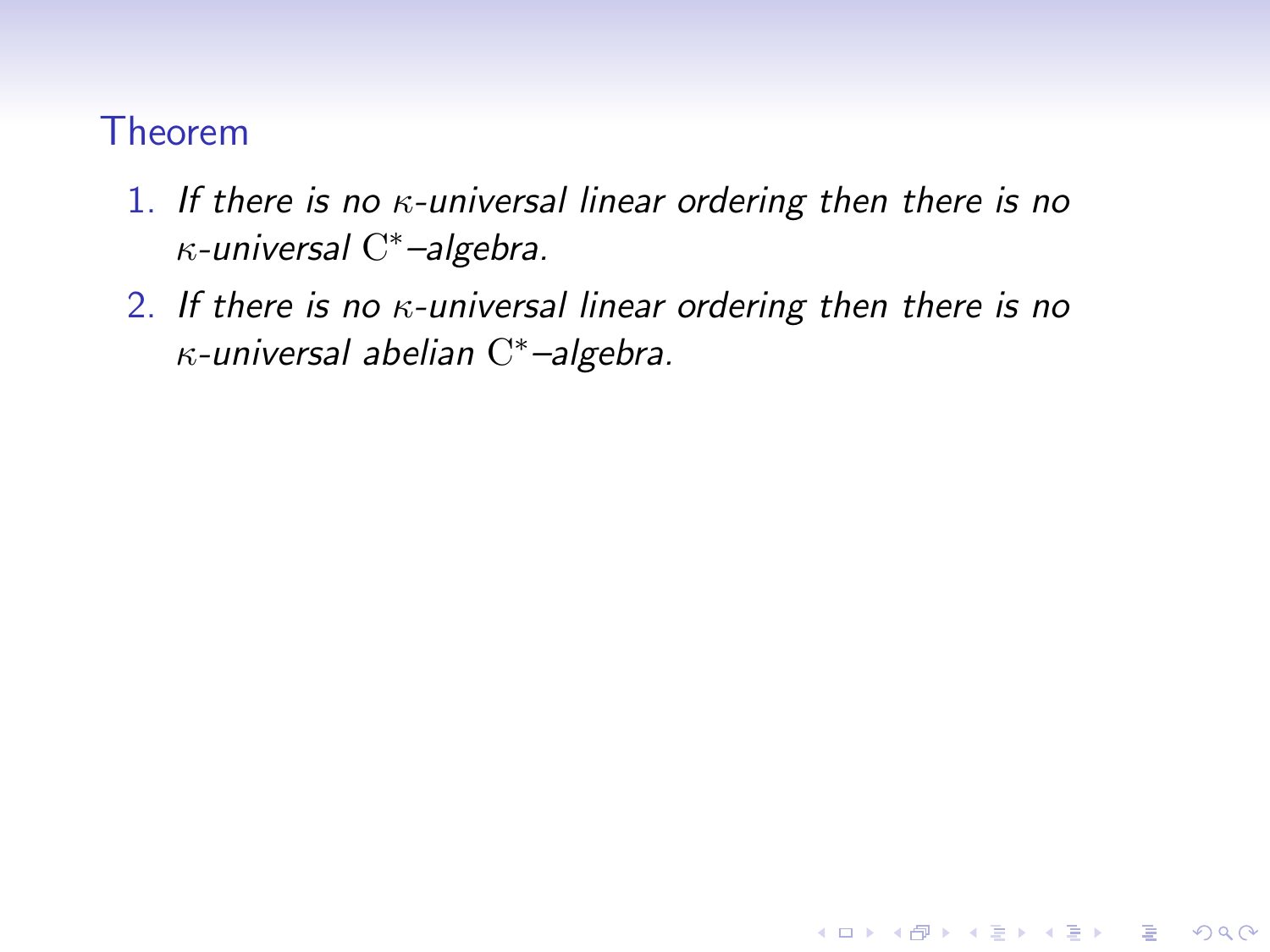- 1. If there is no  $\kappa$ -universal linear ordering then there is no  $\kappa$ -universal  $\mathrm{C}^*$ -algebra.
- 2. If there is no  $\kappa$ -universal linear ordering then there is no  $\kappa$ -universal abelian  $C^*$ -algebra.

K ロ ▶ K @ ▶ K 할 > K 할 > 1 할 > 1 이익어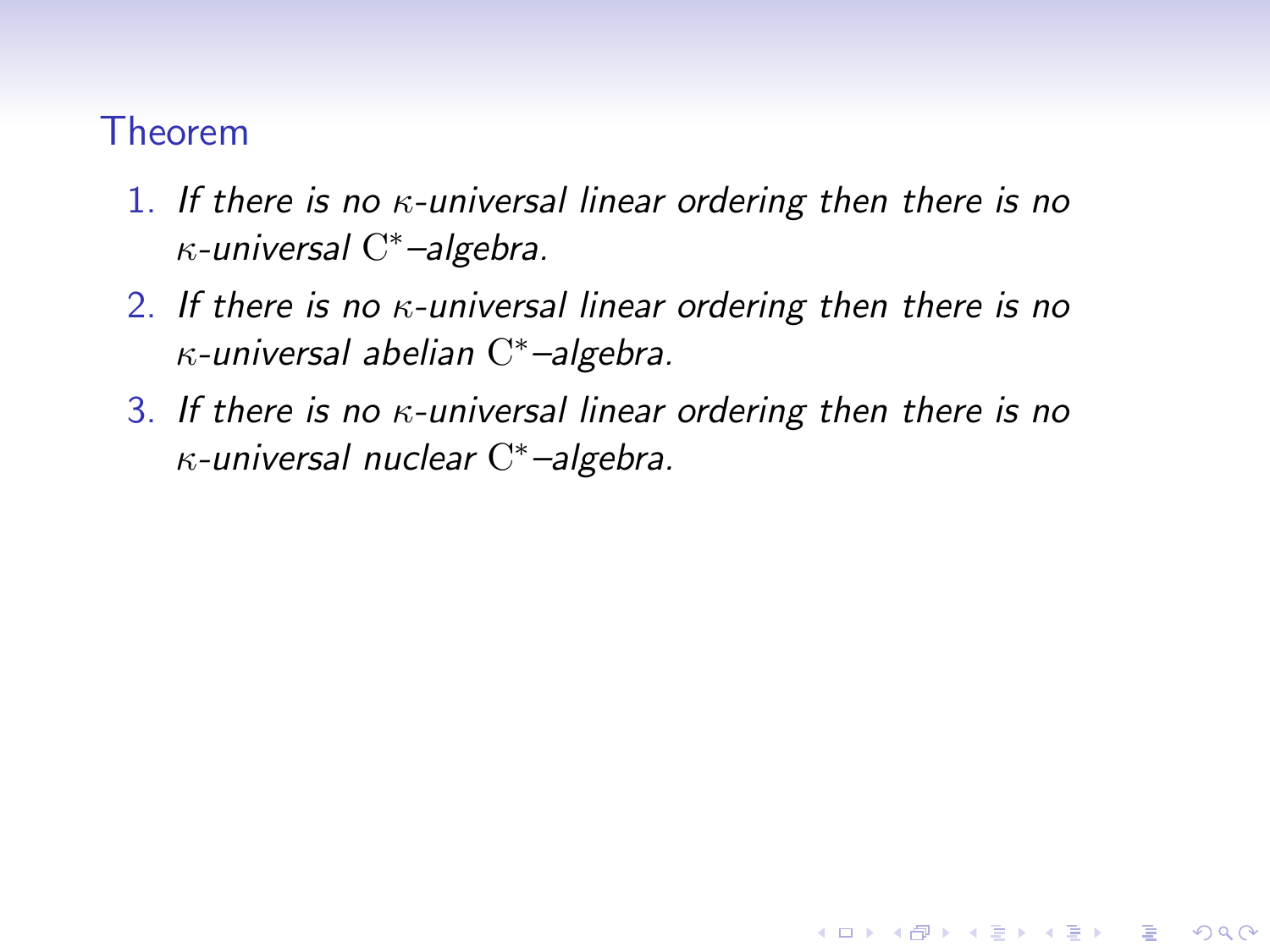- 1. If there is no  $\kappa$ -universal linear ordering then there is no  $\kappa$ -universal  $\mathrm{C}^*$ -algebra.
- 2. If there is no  $\kappa$ -universal linear ordering then there is no  $\kappa$ -universal abelian  $C^*$ -algebra.
- 3. If there is no  $\kappa$ -universal linear ordering then there is no  $\kappa$ -universal nuclear  $\mathrm{C}^*$ -algebra.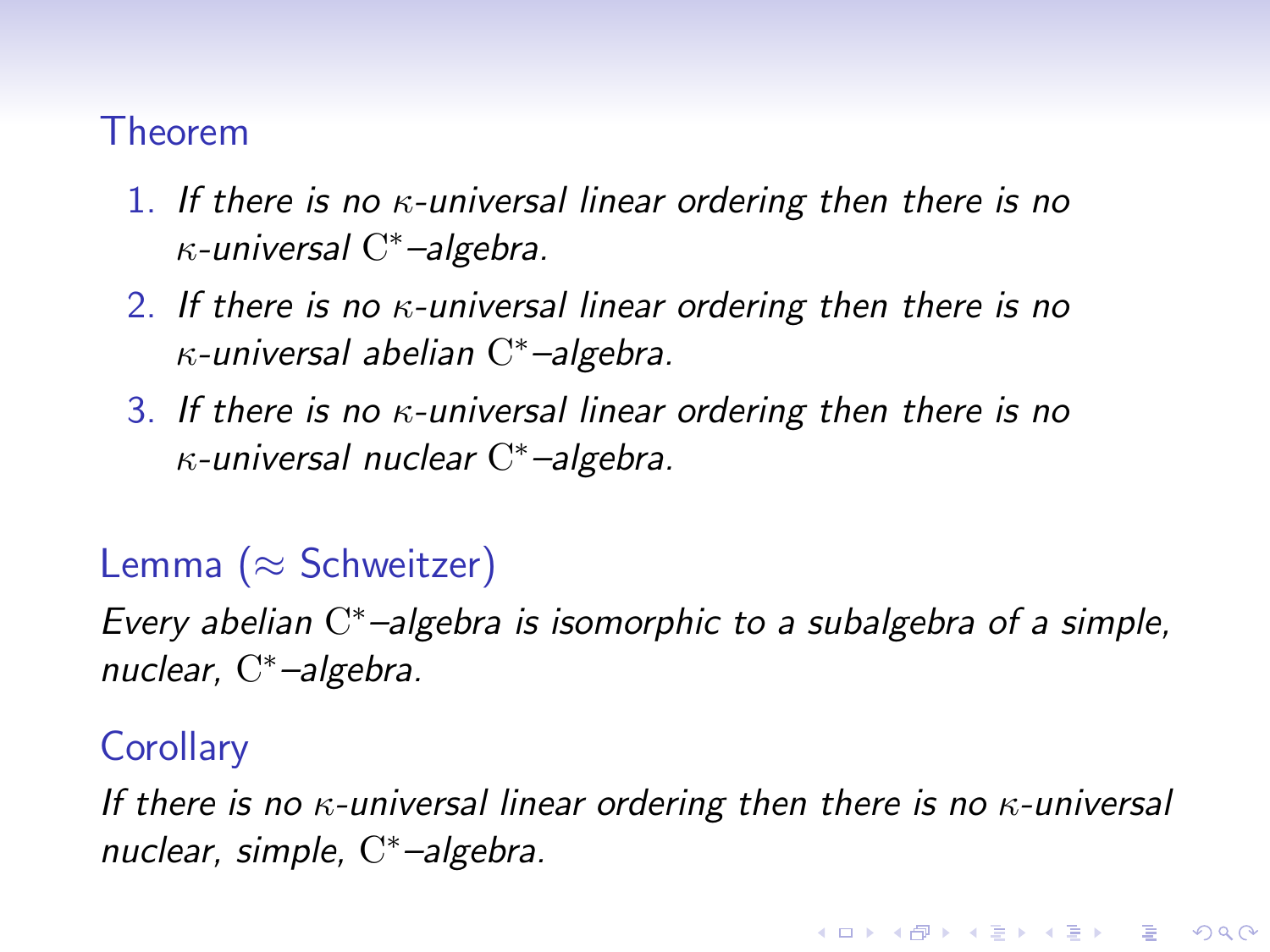- 1. If there is no  $\kappa$ -universal linear ordering then there is no  $\kappa$ -universal  $\mathrm{C}^*$ -algebra.
- 2. If there is no  $\kappa$ -universal linear ordering then there is no  $\kappa$ -universal abelian  $C^*$ -algebra.
- 3. If there is no  $\kappa$ -universal linear ordering then there is no  $\kappa$ -universal nuclear  $\mathrm{C}^*$ -algebra.

### Lemma ( $\approx$  Schweitzer)

Every abelian C\*-algebra is isomorphic to a subalgebra of a simple, nuclear, C <sup>∗</sup>–algebra.

#### **Corollary**

If there is no  $\kappa$ -universal linear ordering then there is no  $\kappa$ -universal nuclear, simple, C<sup>\*</sup>-algebra.